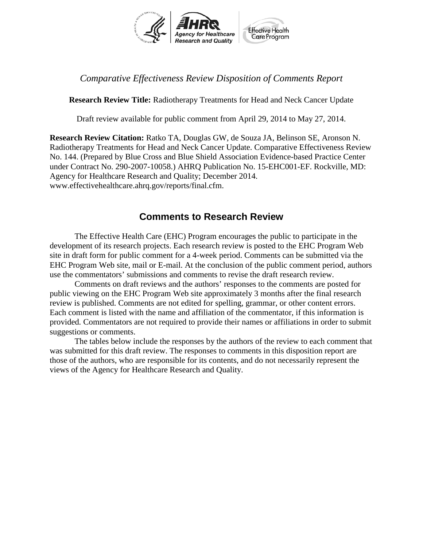

## *Comparative Effectiveness Review Disposition of Comments Report*

**Research Review Title:** Radiotherapy Treatments for Head and Neck Cancer Update

Draft review available for public comment from April 29, 2014 to May 27, 2014.

**Research Review Citation:** Ratko TA, Douglas GW, de Souza JA, Belinson SE, Aronson N. Radiotherapy Treatments for Head and Neck Cancer Update. Comparative Effectiveness Review No. 144. (Prepared by Blue Cross and Blue Shield Association Evidence-based Practice Center under Contract No. 290-2007-10058.) AHRQ Publication No. 15-EHC001-EF. Rockville, MD: Agency for Healthcare Research and Quality; December 2014. www.effectivehealthcare.ahrq.gov/reports/final.cfm.

## **Comments to Research Review**

The Effective Health Care (EHC) Program encourages the public to participate in the development of its research projects. Each research review is posted to the EHC Program Web site in draft form for public comment for a 4-week period. Comments can be submitted via the EHC Program Web site, mail or E-mail. At the conclusion of the public comment period, authors use the commentators' submissions and comments to revise the draft research review.

Comments on draft reviews and the authors' responses to the comments are posted for public viewing on the EHC Program Web site approximately 3 months after the final research review is published. Comments are not edited for spelling, grammar, or other content errors. Each comment is listed with the name and affiliation of the commentator, if this information is provided*.* Commentators are not required to provide their names or affiliations in order to submit suggestions or comments.

The tables below include the responses by the authors of the review to each comment that was submitted for this draft review. The responses to comments in this disposition report are those of the authors, who are responsible for its contents, and do not necessarily represent the views of the Agency for Healthcare Research and Quality.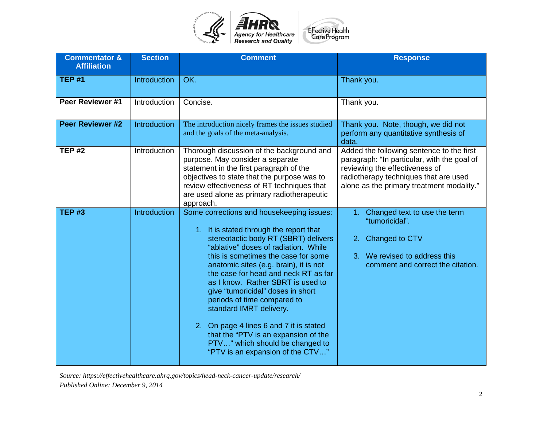

| <b>Commentator &amp;</b><br><b>Affiliation</b> | <b>Section</b>      | <b>Comment</b>                                                                                                                                                                                                                                                                                                                                                                                                                                                                                                                                                                                 | <b>Response</b>                                                                                                                                                                                                  |
|------------------------------------------------|---------------------|------------------------------------------------------------------------------------------------------------------------------------------------------------------------------------------------------------------------------------------------------------------------------------------------------------------------------------------------------------------------------------------------------------------------------------------------------------------------------------------------------------------------------------------------------------------------------------------------|------------------------------------------------------------------------------------------------------------------------------------------------------------------------------------------------------------------|
| <b>TEP #1</b>                                  | <b>Introduction</b> | OK.                                                                                                                                                                                                                                                                                                                                                                                                                                                                                                                                                                                            | Thank you.                                                                                                                                                                                                       |
| Peer Reviewer #1                               | Introduction        | Concise.                                                                                                                                                                                                                                                                                                                                                                                                                                                                                                                                                                                       | Thank you.                                                                                                                                                                                                       |
| <b>Peer Reviewer #2</b>                        | <b>Introduction</b> | The introduction nicely frames the issues studied<br>and the goals of the meta-analysis.                                                                                                                                                                                                                                                                                                                                                                                                                                                                                                       | Thank you. Note, though, we did not<br>perform any quantitative synthesis of<br>data.                                                                                                                            |
| <b>TEP #2</b>                                  | Introduction        | Thorough discussion of the background and<br>purpose. May consider a separate<br>statement in the first paragraph of the<br>objectives to state that the purpose was to<br>review effectiveness of RT techniques that<br>are used alone as primary radiotherapeutic<br>approach.                                                                                                                                                                                                                                                                                                               | Added the following sentence to the first<br>paragraph: "In particular, with the goal of<br>reviewing the effectiveness of<br>radiotherapy techniques that are used<br>alone as the primary treatment modality." |
| <b>TEP #3</b>                                  | Introduction        | Some corrections and housekeeping issues:<br>1. It is stated through the report that<br>stereotactic body RT (SBRT) delivers<br>"ablative" doses of radiation. While<br>this is sometimes the case for some<br>anatomic sites (e.g. brain), it is not<br>the case for head and neck RT as far<br>as I know. Rather SBRT is used to<br>give "tumoricidal" doses in short<br>periods of time compared to<br>standard IMRT delivery.<br>On page 4 lines 6 and 7 it is stated<br>2.<br>that the "PTV is an expansion of the<br>PTV" which should be changed to<br>"PTV is an expansion of the CTV" | Changed text to use the term<br>A)<br>"tumoricidal".<br>Changed to CTV<br>2.<br>3. We revised to address this<br>comment and correct the citation.                                                               |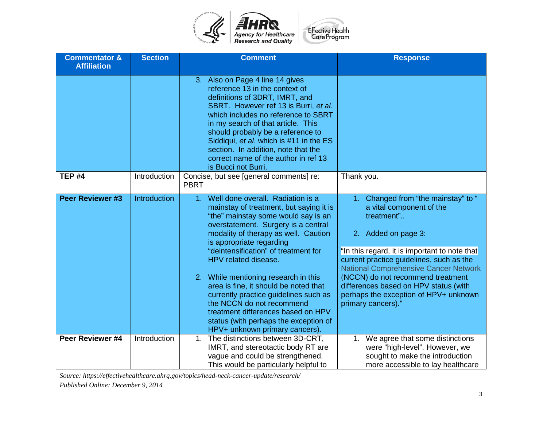

| <b>Commentator &amp;</b><br><b>Affiliation</b> | <b>Section</b> | <b>Comment</b>                                                                                                                                                                                                                                                                                                                                                                                                                                                                                                                                                                           | <b>Response</b>                                                                                                                                                                                                                                                                                                                                                                                |
|------------------------------------------------|----------------|------------------------------------------------------------------------------------------------------------------------------------------------------------------------------------------------------------------------------------------------------------------------------------------------------------------------------------------------------------------------------------------------------------------------------------------------------------------------------------------------------------------------------------------------------------------------------------------|------------------------------------------------------------------------------------------------------------------------------------------------------------------------------------------------------------------------------------------------------------------------------------------------------------------------------------------------------------------------------------------------|
|                                                |                | 3. Also on Page 4 line 14 gives<br>reference 13 in the context of<br>definitions of 3DRT, IMRT, and<br>SBRT. However ref 13 is Burri, et al.<br>which includes no reference to SBRT<br>in my search of that article. This<br>should probably be a reference to<br>Siddiqui, et al. which is #11 in the ES<br>section. In addition, note that the<br>correct name of the author in ref 13<br>is Bucci not Burri.                                                                                                                                                                          |                                                                                                                                                                                                                                                                                                                                                                                                |
| <b>TEP #4</b>                                  | Introduction   | Concise, but see [general comments] re:<br><b>PBRT</b>                                                                                                                                                                                                                                                                                                                                                                                                                                                                                                                                   | Thank you.                                                                                                                                                                                                                                                                                                                                                                                     |
| <b>Peer Reviewer #3</b>                        | Introduction   | Well done overall. Radiation is a<br>1 <sub>1</sub><br>mainstay of treatment, but saying it is<br>"the" mainstay some would say is an<br>overstatement. Surgery is a central<br>modality of therapy as well. Caution<br>is appropriate regarding<br>"deintensification" of treatment for<br>HPV related disease.<br>2. While mentioning research in this<br>area is fine, it should be noted that<br>currently practice guidelines such as<br>the NCCN do not recommend<br>treatment differences based on HPV<br>status (with perhaps the exception of<br>HPV+ unknown primary cancers). | 1. Changed from "the mainstay" to "<br>a vital component of the<br>treatment"<br>2. Added on page 3:<br>"In this regard, it is important to note that<br>current practice guidelines, such as the<br><b>National Comprehensive Cancer Network</b><br>(NCCN) do not recommend treatment<br>differences based on HPV status (with<br>perhaps the exception of HPV+ unknown<br>primary cancers)." |
| Peer Reviewer #4                               | Introduction   | 1. The distinctions between 3D-CRT,<br>IMRT, and stereotactic body RT are<br>vague and could be strengthened.<br>This would be particularly helpful to                                                                                                                                                                                                                                                                                                                                                                                                                                   | 1. We agree that some distinctions<br>were "high-level". However, we<br>sought to make the introduction<br>more accessible to lay healthcare                                                                                                                                                                                                                                                   |

*Source: https://effectivehealthcare.ahrq.gov/topics/head-neck-cancer-update/research/*

*Published Online: December 9, 2014*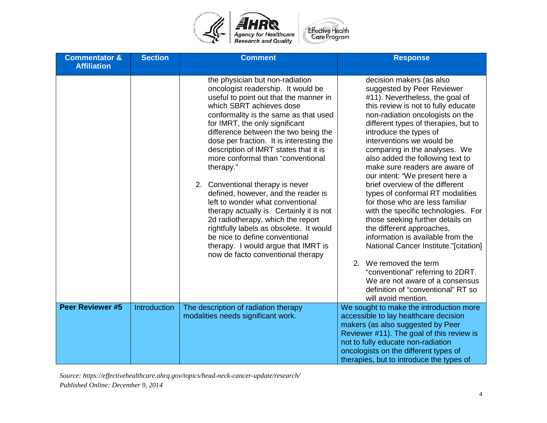

| <b>Commentator &amp;</b><br><b>Affiliation</b> | <b>Section</b> | <b>Comment</b>                                                                                                                                                                                                                                                                                                                                                                                                                                                                                                                                                                                                                                                                                                                                                 | <b>Response</b>                                                                                                                                                                                                                                                                                                                                                                                                                                                                                                                                                                                                                                                                                                                                                                                                                                                             |
|------------------------------------------------|----------------|----------------------------------------------------------------------------------------------------------------------------------------------------------------------------------------------------------------------------------------------------------------------------------------------------------------------------------------------------------------------------------------------------------------------------------------------------------------------------------------------------------------------------------------------------------------------------------------------------------------------------------------------------------------------------------------------------------------------------------------------------------------|-----------------------------------------------------------------------------------------------------------------------------------------------------------------------------------------------------------------------------------------------------------------------------------------------------------------------------------------------------------------------------------------------------------------------------------------------------------------------------------------------------------------------------------------------------------------------------------------------------------------------------------------------------------------------------------------------------------------------------------------------------------------------------------------------------------------------------------------------------------------------------|
|                                                |                | the physician but non-radiation<br>oncologist readership. It would be<br>useful to point out that the manner in<br>which SBRT achieves dose<br>conformality is the same as that used<br>for IMRT, the only significant<br>difference between the two being the<br>dose per fraction. It is interesting the<br>description of IMRT states that it is<br>more conformal than "conventional<br>therapy."<br>2. Conventional therapy is never<br>defined, however, and the reader is<br>left to wonder what conventional<br>therapy actually is. Certainly it is not<br>2d radiotherapy, which the report<br>rightfully labels as obsolete. It would<br>be nice to define conventional<br>therapy. I would argue that IMRT is<br>now de facto conventional therapy | decision makers (as also<br>suggested by Peer Reviewer<br>#11). Nevertheless, the goal of<br>this review is not to fully educate<br>non-radiation oncologists on the<br>different types of therapies, but to<br>introduce the types of<br>interventions we would be<br>comparing in the analyses. We<br>also added the following text to<br>make sure readers are aware of<br>our intent: "We present here a<br>brief overview of the different<br>types of conformal RT modalities<br>for those who are less familiar<br>with the specific technologies. For<br>those seeking further details on<br>the different approaches,<br>information is available from the<br>National Cancer Institute."[citation]<br>2. We removed the term<br>"conventional" referring to 2DRT.<br>We are not aware of a consensus<br>definition of "conventional" RT so<br>will avoid mention. |
| <b>Peer Reviewer #5</b>                        | Introduction   | The description of radiation therapy<br>modalities needs significant work.                                                                                                                                                                                                                                                                                                                                                                                                                                                                                                                                                                                                                                                                                     | We sought to make the introduction more<br>accessible to lay healthcare decision<br>makers (as also suggested by Peer<br>Reviewer #11). The goal of this review is<br>not to fully educate non-radiation<br>oncologists on the different types of<br>therapies, but to introduce the types of                                                                                                                                                                                                                                                                                                                                                                                                                                                                                                                                                                               |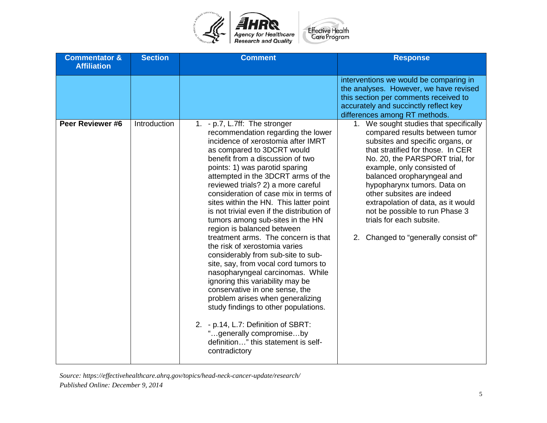

| <b>Commentator &amp;</b><br><b>Affiliation</b> | <b>Section</b> | <b>Comment</b>                                                                                                                                                                                                                                                                                                                                                                                                                                                                                                                                                                                                                                                                                                                                                                                                                                                                                                                                                     | <b>Response</b>                                                                                                                                                                                                                                                                                                                                                                                                                                          |
|------------------------------------------------|----------------|--------------------------------------------------------------------------------------------------------------------------------------------------------------------------------------------------------------------------------------------------------------------------------------------------------------------------------------------------------------------------------------------------------------------------------------------------------------------------------------------------------------------------------------------------------------------------------------------------------------------------------------------------------------------------------------------------------------------------------------------------------------------------------------------------------------------------------------------------------------------------------------------------------------------------------------------------------------------|----------------------------------------------------------------------------------------------------------------------------------------------------------------------------------------------------------------------------------------------------------------------------------------------------------------------------------------------------------------------------------------------------------------------------------------------------------|
|                                                |                |                                                                                                                                                                                                                                                                                                                                                                                                                                                                                                                                                                                                                                                                                                                                                                                                                                                                                                                                                                    | interventions we would be comparing in<br>the analyses. However, we have revised<br>this section per comments received to<br>accurately and succinctly reflect key<br>differences among RT methods.                                                                                                                                                                                                                                                      |
| Peer Reviewer #6                               | Introduction   | 1. - p.7, L.7ff: The stronger<br>recommendation regarding the lower<br>incidence of xerostomia after IMRT<br>as compared to 3DCRT would<br>benefit from a discussion of two<br>points: 1) was parotid sparing<br>attempted in the 3DCRT arms of the<br>reviewed trials? 2) a more careful<br>consideration of case mix in terms of<br>sites within the HN. This latter point<br>is not trivial even if the distribution of<br>tumors among sub-sites in the HN<br>region is balanced between<br>treatment arms. The concern is that<br>the risk of xerostomia varies<br>considerably from sub-site to sub-<br>site, say, from vocal cord tumors to<br>nasopharyngeal carcinomas. While<br>ignoring this variability may be<br>conservative in one sense, the<br>problem arises when generalizing<br>study findings to other populations.<br>2. - p.14, L.7: Definition of SBRT:<br>"generally compromiseby<br>definition" this statement is self-<br>contradictory | 1. We sought studies that specifically<br>compared results between tumor<br>subsites and specific organs, or<br>that stratified for those. In CER<br>No. 20, the PARSPORT trial, for<br>example, only consisted of<br>balanced oropharyngeal and<br>hypopharynx tumors. Data on<br>other subsites are indeed<br>extrapolation of data, as it would<br>not be possible to run Phase 3<br>trials for each subsite.<br>2. Changed to "generally consist of" |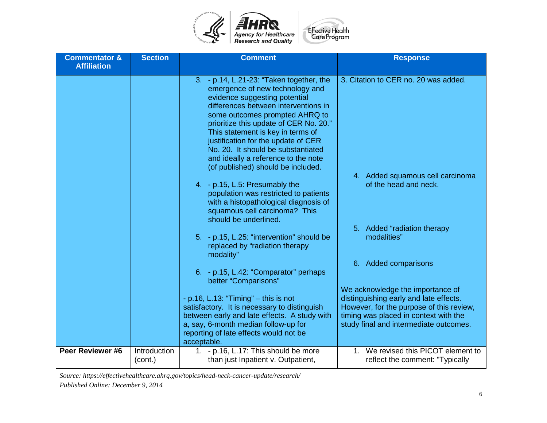

| <b>Commentator &amp;</b><br><b>Affiliation</b> | <b>Section</b>          | <b>Comment</b>                                                                                                                                                                                                                                                                                                                                                                                                                  | <b>Response</b>                                                                                                                                                                                           |
|------------------------------------------------|-------------------------|---------------------------------------------------------------------------------------------------------------------------------------------------------------------------------------------------------------------------------------------------------------------------------------------------------------------------------------------------------------------------------------------------------------------------------|-----------------------------------------------------------------------------------------------------------------------------------------------------------------------------------------------------------|
|                                                |                         | 3. - p.14, L.21-23: "Taken together, the<br>emergence of new technology and<br>evidence suggesting potential<br>differences between interventions in<br>some outcomes prompted AHRQ to<br>prioritize this update of CER No. 20."<br>This statement is key in terms of<br>justification for the update of CER<br>No. 20. It should be substantiated<br>and ideally a reference to the note<br>(of published) should be included. | 3. Citation to CER no. 20 was added.                                                                                                                                                                      |
|                                                |                         | 4. - p.15, L.5: Presumably the<br>population was restricted to patients<br>with a histopathological diagnosis of<br>squamous cell carcinoma? This<br>should be underlined.                                                                                                                                                                                                                                                      | 4. Added squamous cell carcinoma<br>of the head and neck.                                                                                                                                                 |
|                                                |                         | 5. - p.15, L.25: "intervention" should be<br>replaced by "radiation therapy<br>modality"                                                                                                                                                                                                                                                                                                                                        | 5. Added "radiation therapy<br>modalities"                                                                                                                                                                |
|                                                |                         | 6. - p.15, L.42: "Comparator" perhaps<br>better "Comparisons"                                                                                                                                                                                                                                                                                                                                                                   | 6. Added comparisons                                                                                                                                                                                      |
|                                                |                         | - p.16, L.13: "Timing" $-$ this is not<br>satisfactory. It is necessary to distinguish<br>between early and late effects. A study with<br>a, say, 6-month median follow-up for<br>reporting of late effects would not be<br>acceptable.                                                                                                                                                                                         | We acknowledge the importance of<br>distinguishing early and late effects.<br>However, for the purpose of this review,<br>timing was placed in context with the<br>study final and intermediate outcomes. |
| Peer Reviewer #6                               | Introduction<br>(cont.) | 1. - p.16, L.17: This should be more<br>than just Inpatient v. Outpatient,                                                                                                                                                                                                                                                                                                                                                      | 1. We revised this PICOT element to<br>reflect the comment: "Typically                                                                                                                                    |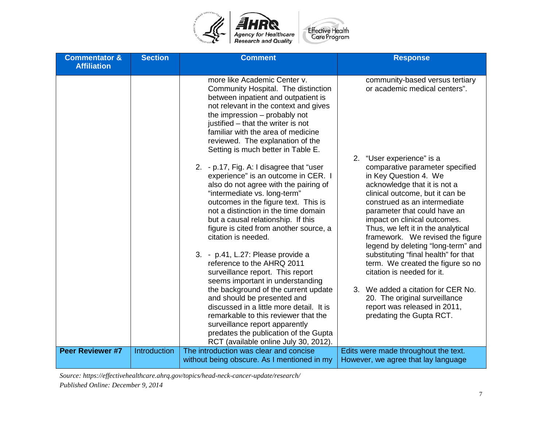

| <b>Commentator &amp;</b><br><b>Affiliation</b> | <b>Section</b> | <b>Comment</b>                                                                                                                                                                                                                                                                                                                                  | <b>Response</b>                                                                                                                                                                                                                                                                                                                             |
|------------------------------------------------|----------------|-------------------------------------------------------------------------------------------------------------------------------------------------------------------------------------------------------------------------------------------------------------------------------------------------------------------------------------------------|---------------------------------------------------------------------------------------------------------------------------------------------------------------------------------------------------------------------------------------------------------------------------------------------------------------------------------------------|
|                                                |                | more like Academic Center v.<br>Community Hospital. The distinction<br>between inpatient and outpatient is<br>not relevant in the context and gives<br>the impression - probably not<br>justified - that the writer is not<br>familiar with the area of medicine<br>reviewed. The explanation of the<br>Setting is much better in Table E.      | community-based versus tertiary<br>or academic medical centers".<br>2. "User experience" is a                                                                                                                                                                                                                                               |
|                                                |                | 2. - p.17, Fig. A: I disagree that "user<br>experience" is an outcome in CER. I<br>also do not agree with the pairing of<br>"intermediate vs. long-term"<br>outcomes in the figure text. This is<br>not a distinction in the time domain<br>but a causal relationship. If this<br>figure is cited from another source, a<br>citation is needed. | comparative parameter specified<br>in Key Question 4. We<br>acknowledge that it is not a<br>clinical outcome, but it can be<br>construed as an intermediate<br>parameter that could have an<br>impact on clinical outcomes.<br>Thus, we left it in the analytical<br>framework. We revised the figure<br>legend by deleting "long-term" and |
|                                                |                | 3. - p.41, L.27: Please provide a<br>reference to the AHRQ 2011<br>surveillance report. This report<br>seems important in understanding                                                                                                                                                                                                         | substituting "final health" for that<br>term. We created the figure so no<br>citation is needed for it.                                                                                                                                                                                                                                     |
|                                                |                | the background of the current update<br>and should be presented and<br>discussed in a little more detail. It is<br>remarkable to this reviewer that the<br>surveillance report apparently<br>predates the publication of the Gupta<br>RCT (available online July 30, 2012).                                                                     | 3. We added a citation for CER No.<br>20. The original surveillance<br>report was released in 2011,<br>predating the Gupta RCT.                                                                                                                                                                                                             |
| Peer Reviewer #7                               | Introduction   | The introduction was clear and concise<br>without being obscure. As I mentioned in my                                                                                                                                                                                                                                                           | Edits were made throughout the text.<br>However, we agree that lay language                                                                                                                                                                                                                                                                 |

*Source: https://effectivehealthcare.ahrq.gov/topics/head-neck-cancer-update/research/*

*Published Online: December 9, 2014*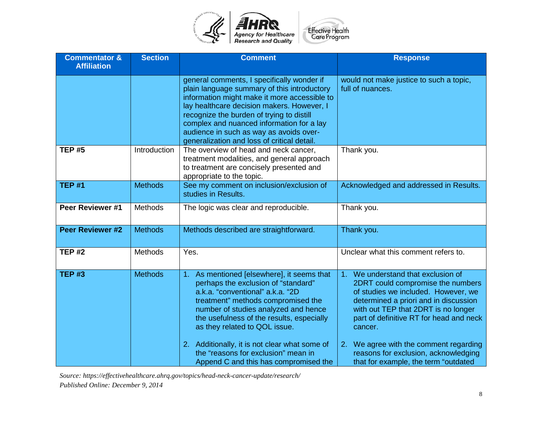

| <b>Commentator &amp;</b><br><b>Affiliation</b> | <b>Section</b> | <b>Comment</b>                                                                                                                                                                                                                                                                                                                                                                                                     | <b>Response</b>                                                                                                                                                                                                                                                                                                                                                                               |
|------------------------------------------------|----------------|--------------------------------------------------------------------------------------------------------------------------------------------------------------------------------------------------------------------------------------------------------------------------------------------------------------------------------------------------------------------------------------------------------------------|-----------------------------------------------------------------------------------------------------------------------------------------------------------------------------------------------------------------------------------------------------------------------------------------------------------------------------------------------------------------------------------------------|
|                                                |                | general comments, I specifically wonder if<br>plain language summary of this introductory<br>information might make it more accessible to<br>lay healthcare decision makers. However, I<br>recognize the burden of trying to distill<br>complex and nuanced information for a lay<br>audience in such as way as avoids over-<br>generalization and loss of critical detail.                                        | would not make justice to such a topic,<br>full of nuances.                                                                                                                                                                                                                                                                                                                                   |
| <b>TEP #5</b>                                  | Introduction   | The overview of head and neck cancer,<br>treatment modalities, and general approach<br>to treatment are concisely presented and<br>appropriate to the topic.                                                                                                                                                                                                                                                       | Thank you.                                                                                                                                                                                                                                                                                                                                                                                    |
| <b>TEP #1</b>                                  | <b>Methods</b> | See my comment on inclusion/exclusion of<br>studies in Results.                                                                                                                                                                                                                                                                                                                                                    | Acknowledged and addressed in Results.                                                                                                                                                                                                                                                                                                                                                        |
| Peer Reviewer #1                               | Methods        | The logic was clear and reproducible.                                                                                                                                                                                                                                                                                                                                                                              | Thank you.                                                                                                                                                                                                                                                                                                                                                                                    |
| Peer Reviewer #2                               | <b>Methods</b> | Methods described are straightforward.                                                                                                                                                                                                                                                                                                                                                                             | Thank you.                                                                                                                                                                                                                                                                                                                                                                                    |
| <b>TEP #2</b>                                  | Methods        | Yes.                                                                                                                                                                                                                                                                                                                                                                                                               | Unclear what this comment refers to.                                                                                                                                                                                                                                                                                                                                                          |
| <b>TEP #3</b>                                  | <b>Methods</b> | 1. As mentioned [elsewhere], it seems that<br>perhaps the exclusion of "standard"<br>a.k.a. "conventional" a.k.a. "2D<br>treatment" methods compromised the<br>number of studies analyzed and hence<br>the usefulness of the results, especially<br>as they related to QOL issue.<br>2. Additionally, it is not clear what some of<br>the "reasons for exclusion" mean in<br>Append C and this has compromised the | We understand that exclusion of<br>1 <sub>1</sub><br>2DRT could compromise the numbers<br>of studies we included. However, we<br>determined a priori and in discussion<br>with out TEP that 2DRT is no longer<br>part of definitive RT for head and neck<br>cancer.<br>2. We agree with the comment regarding<br>reasons for exclusion, acknowledging<br>that for example, the term "outdated |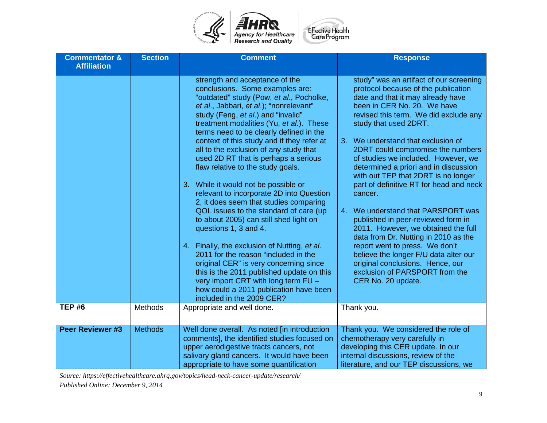

| <b>Commentator &amp;</b><br><b>Affiliation</b> | <b>Section</b> | <b>Comment</b>                                                                                                                                                                                                                                                                                                                                                                                                                                                                                                                                                                                                                                                                                                                                                                                                                                                                                                                                                                                     | <b>Response</b>                                                                                                                                                                                                                                                                                                                                                                                                                                                                                                                                                                                                                                                                                                                                                                                                   |
|------------------------------------------------|----------------|----------------------------------------------------------------------------------------------------------------------------------------------------------------------------------------------------------------------------------------------------------------------------------------------------------------------------------------------------------------------------------------------------------------------------------------------------------------------------------------------------------------------------------------------------------------------------------------------------------------------------------------------------------------------------------------------------------------------------------------------------------------------------------------------------------------------------------------------------------------------------------------------------------------------------------------------------------------------------------------------------|-------------------------------------------------------------------------------------------------------------------------------------------------------------------------------------------------------------------------------------------------------------------------------------------------------------------------------------------------------------------------------------------------------------------------------------------------------------------------------------------------------------------------------------------------------------------------------------------------------------------------------------------------------------------------------------------------------------------------------------------------------------------------------------------------------------------|
|                                                |                | strength and acceptance of the<br>conclusions. Some examples are:<br>"outdated" study (Pow, et al., Pocholke,<br>et al., Jabbari, et al.); "nonrelevant"<br>study (Feng, et al.) and "invalid"<br>treatment modalities (Yu, et al.). These<br>terms need to be clearly defined in the<br>context of this study and if they refer at<br>all to the exclusion of any study that<br>used 2D RT that is perhaps a serious<br>flaw relative to the study goals.<br>3. While it would not be possible or<br>relevant to incorporate 2D into Question<br>2, it does seem that studies comparing<br>QOL issues to the standard of care (up<br>to about 2005) can still shed light on<br>questions 1, 3 and 4.<br>4. Finally, the exclusion of Nutting, et al.<br>2011 for the reason "included in the<br>original CER" is very concerning since<br>this is the 2011 published update on this<br>very import CRT with long term FU -<br>how could a 2011 publication have been<br>included in the 2009 CER? | study" was an artifact of our screening<br>protocol because of the publication<br>date and that it may already have<br>been in CER No. 20. We have<br>revised this term. We did exclude any<br>study that used 2DRT.<br>3. We understand that exclusion of<br>2DRT could compromise the numbers<br>of studies we included. However, we<br>determined a priori and in discussion<br>with out TEP that 2DRT is no longer<br>part of definitive RT for head and neck<br>cancer.<br>We understand that PARSPORT was<br>4.<br>published in peer-reviewed form in<br>2011. However, we obtained the full<br>data from Dr. Nutting in 2010 as the<br>report went to press. We don't<br>believe the longer F/U data alter our<br>original conclusions. Hence, our<br>exclusion of PARSPORT from the<br>CER No. 20 update. |
| <b>TEP #6</b>                                  | Methods        | Appropriate and well done.                                                                                                                                                                                                                                                                                                                                                                                                                                                                                                                                                                                                                                                                                                                                                                                                                                                                                                                                                                         | Thank you.                                                                                                                                                                                                                                                                                                                                                                                                                                                                                                                                                                                                                                                                                                                                                                                                        |
| <b>Peer Reviewer #3</b>                        | <b>Methods</b> | Well done overall. As noted [in introduction<br>comments], the identified studies focused on<br>upper aerodigestive tracts cancers, not<br>salivary gland cancers. It would have been<br>appropriate to have some quantification                                                                                                                                                                                                                                                                                                                                                                                                                                                                                                                                                                                                                                                                                                                                                                   | Thank you. We considered the role of<br>chemotherapy very carefully in<br>developing this CER update. In our<br>internal discussions, review of the<br>literature, and our TEP discussions, we                                                                                                                                                                                                                                                                                                                                                                                                                                                                                                                                                                                                                    |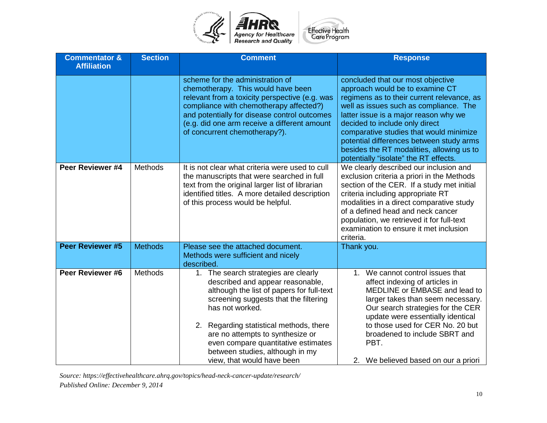

| <b>Commentator &amp;</b><br><b>Affiliation</b> | <b>Section</b> | <b>Comment</b>                                                                                                                                                                                                                                                                                                                                                           | <b>Response</b>                                                                                                                                                                                                                                                                                                                                                                                                      |
|------------------------------------------------|----------------|--------------------------------------------------------------------------------------------------------------------------------------------------------------------------------------------------------------------------------------------------------------------------------------------------------------------------------------------------------------------------|----------------------------------------------------------------------------------------------------------------------------------------------------------------------------------------------------------------------------------------------------------------------------------------------------------------------------------------------------------------------------------------------------------------------|
|                                                |                | scheme for the administration of<br>chemotherapy. This would have been<br>relevant from a toxicity perspective (e.g. was<br>compliance with chemotherapy affected?)<br>and potentially for disease control outcomes<br>(e.g. did one arm receive a different amount<br>of concurrent chemotherapy?).                                                                     | concluded that our most objective<br>approach would be to examine CT<br>regimens as to their current relevance, as<br>well as issues such as compliance. The<br>latter issue is a major reason why we<br>decided to include only direct<br>comparative studies that would minimize<br>potential differences between study arms<br>besides the RT modalities, allowing us to<br>potentially "isolate" the RT effects. |
| Peer Reviewer #4                               | <b>Methods</b> | It is not clear what criteria were used to cull<br>the manuscripts that were searched in full<br>text from the original larger list of librarian<br>identified titles. A more detailed description<br>of this process would be helpful.                                                                                                                                  | We clearly described our inclusion and<br>exclusion criteria a priori in the Methods<br>section of the CER. If a study met initial<br>criteria including appropriate RT<br>modalities in a direct comparative study<br>of a defined head and neck cancer<br>population, we retrieved it for full-text<br>examination to ensure it met inclusion<br>criteria.                                                         |
| <b>Peer Reviewer #5</b>                        | <b>Methods</b> | Please see the attached document.<br>Methods were sufficient and nicely<br>described.                                                                                                                                                                                                                                                                                    | Thank you.                                                                                                                                                                                                                                                                                                                                                                                                           |
| Peer Reviewer #6                               | Methods        | 1. The search strategies are clearly<br>described and appear reasonable,<br>although the list of papers for full-text<br>screening suggests that the filtering<br>has not worked.<br>2. Regarding statistical methods, there<br>are no attempts to synthesize or<br>even compare quantitative estimates<br>between studies, although in my<br>view, that would have been | We cannot control issues that<br>$1_{-}$<br>affect indexing of articles in<br>MEDLINE or EMBASE and lead to<br>larger takes than seem necessary.<br>Our search strategies for the CER<br>update were essentially identical<br>to those used for CER No. 20 but<br>broadened to include SBRT and<br>PBT.<br>2. We believed based on our a priori                                                                      |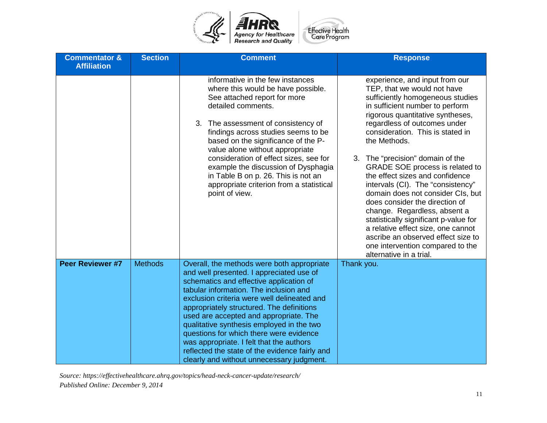

| <b>Commentator &amp;</b><br><b>Affiliation</b> | <b>Section</b> | <b>Comment</b>                                                                                                                                                                                                                                                                                                                                                                                                                                                                                                                                       | <b>Response</b>                                                                                                                                                                                                                                                                                                                                                                                                                                                                                                                                                                                                                                                                                        |
|------------------------------------------------|----------------|------------------------------------------------------------------------------------------------------------------------------------------------------------------------------------------------------------------------------------------------------------------------------------------------------------------------------------------------------------------------------------------------------------------------------------------------------------------------------------------------------------------------------------------------------|--------------------------------------------------------------------------------------------------------------------------------------------------------------------------------------------------------------------------------------------------------------------------------------------------------------------------------------------------------------------------------------------------------------------------------------------------------------------------------------------------------------------------------------------------------------------------------------------------------------------------------------------------------------------------------------------------------|
|                                                |                | informative in the few instances<br>where this would be have possible.<br>See attached report for more<br>detailed comments.<br>The assessment of consistency of<br>3.<br>findings across studies seems to be<br>based on the significance of the P-<br>value alone without appropriate<br>consideration of effect sizes, see for<br>example the discussion of Dysphagia<br>in Table B on p. 26. This is not an<br>appropriate criterion from a statistical<br>point of view.                                                                        | experience, and input from our<br>TEP, that we would not have<br>sufficiently homogeneous studies<br>in sufficient number to perform<br>rigorous quantitative syntheses,<br>regardless of outcomes under<br>consideration. This is stated in<br>the Methods.<br>3. The "precision" domain of the<br>GRADE SOE process is related to<br>the effect sizes and confidence<br>intervals (CI). The "consistency"<br>domain does not consider CIs, but<br>does consider the direction of<br>change. Regardless, absent a<br>statistically significant p-value for<br>a relative effect size, one cannot<br>ascribe an observed effect size to<br>one intervention compared to the<br>alternative in a trial. |
| <b>Peer Reviewer #7</b>                        | <b>Methods</b> | Overall, the methods were both appropriate<br>and well presented. I appreciated use of<br>schematics and effective application of<br>tabular information. The inclusion and<br>exclusion criteria were well delineated and<br>appropriately structured. The definitions<br>used are accepted and appropriate. The<br>qualitative synthesis employed in the two<br>questions for which there were evidence<br>was appropriate. I felt that the authors<br>reflected the state of the evidence fairly and<br>clearly and without unnecessary judgment. | Thank you.                                                                                                                                                                                                                                                                                                                                                                                                                                                                                                                                                                                                                                                                                             |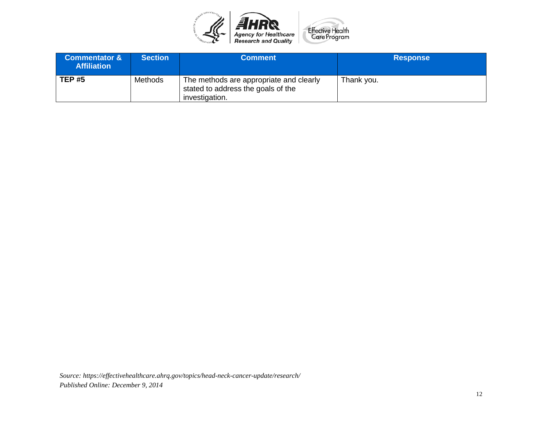

| <b>Commentator &amp;</b><br><b>Affiliation</b> | <b>Section</b> | <b>Comment</b>                                                                                  | <b>Response</b> |
|------------------------------------------------|----------------|-------------------------------------------------------------------------------------------------|-----------------|
| <b>TEP #5</b>                                  | Methods        | The methods are appropriate and clearly<br>stated to address the goals of the<br>investigation. | Thank you.      |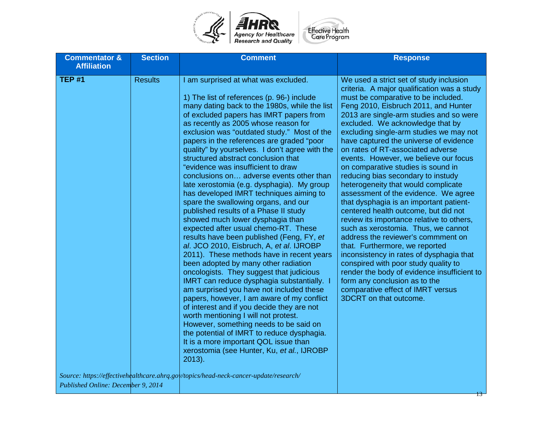

| <b>Commentator &amp;</b><br><b>Affiliation</b> | <b>Section</b> | <b>Comment</b>                                                                                                                                                                                                                                                                                                                                                                                                                                                                                                                                                                                                                                                                                                                                                                                                                                                                                                                                                                                                                                                                                                                                                                                                                                                                                                                                                                                                                                                                                   | <b>Response</b>                                                                                                                                                                                                                                                                                                                                                                                                                                                                                                                                                                                                                                                                                                                                                                                                                                                                                                                                                                                                                                                      |
|------------------------------------------------|----------------|--------------------------------------------------------------------------------------------------------------------------------------------------------------------------------------------------------------------------------------------------------------------------------------------------------------------------------------------------------------------------------------------------------------------------------------------------------------------------------------------------------------------------------------------------------------------------------------------------------------------------------------------------------------------------------------------------------------------------------------------------------------------------------------------------------------------------------------------------------------------------------------------------------------------------------------------------------------------------------------------------------------------------------------------------------------------------------------------------------------------------------------------------------------------------------------------------------------------------------------------------------------------------------------------------------------------------------------------------------------------------------------------------------------------------------------------------------------------------------------------------|----------------------------------------------------------------------------------------------------------------------------------------------------------------------------------------------------------------------------------------------------------------------------------------------------------------------------------------------------------------------------------------------------------------------------------------------------------------------------------------------------------------------------------------------------------------------------------------------------------------------------------------------------------------------------------------------------------------------------------------------------------------------------------------------------------------------------------------------------------------------------------------------------------------------------------------------------------------------------------------------------------------------------------------------------------------------|
| <b>TEP #1</b>                                  | <b>Results</b> | I am surprised at what was excluded.<br>1) The list of references (p. 96-) include<br>many dating back to the 1980s, while the list<br>of excluded papers has IMRT papers from<br>as recently as 2005 whose reason for<br>exclusion was "outdated study." Most of the<br>papers in the references are graded "poor<br>quality" by yourselves. I don't agree with the<br>structured abstract conclusion that<br>"evidence was insufficient to draw<br>conclusions on adverse events other than<br>late xerostomia (e.g. dysphagia). My group<br>has developed IMRT techniques aiming to<br>spare the swallowing organs, and our<br>published results of a Phase II study<br>showed much lower dysphagia than<br>expected after usual chemo-RT. These<br>results have been published (Feng, FY, et<br>al. JCO 2010, Eisbruch, A, et al. IJROBP<br>2011). These methods have in recent years<br>been adopted by many other radiation<br>oncologists. They suggest that judicious<br>IMRT can reduce dysphagia substantially. I<br>am surprised you have not included these<br>papers, however, I am aware of my conflict<br>of interest and if you decide they are not<br>worth mentioning I will not protest.<br>However, something needs to be said on<br>the potential of IMRT to reduce dysphagia.<br>It is a more important QOL issue than<br>xerostomia (see Hunter, Ku, et al., IJROBP<br>$2013$ ).<br>Source: https://effectivehealthcare.ahrq.gov/topics/head-neck-cancer-update/research/ | We used a strict set of study inclusion<br>criteria. A major qualification was a study<br>must be comparative to be included.<br>Feng 2010, Eisbruch 2011, and Hunter<br>2013 are single-arm studies and so were<br>excluded. We acknowledge that by<br>excluding single-arm studies we may not<br>have captured the universe of evidence<br>on rates of RT-associated adverse<br>events. However, we believe our focus<br>on comparative studies is sound in<br>reducing bias secondary to instudy<br>heterogeneity that would complicate<br>assessment of the evidence. We agree<br>that dysphagia is an important patient-<br>centered health outcome, but did not<br>review its importance relative to others,<br>such as xerostomia. Thus, we cannot<br>address the reviewer's commment on<br>that. Furthermore, we reported<br>inconsistency in rates of dysphagia that<br>conspired with poor study quality to<br>render the body of evidence insufficient to<br>form any conclusion as to the<br>comparative effect of IMRT versus<br>3DCRT on that outcome. |
|                                                |                |                                                                                                                                                                                                                                                                                                                                                                                                                                                                                                                                                                                                                                                                                                                                                                                                                                                                                                                                                                                                                                                                                                                                                                                                                                                                                                                                                                                                                                                                                                  |                                                                                                                                                                                                                                                                                                                                                                                                                                                                                                                                                                                                                                                                                                                                                                                                                                                                                                                                                                                                                                                                      |

*Published Online: December 9, 2014*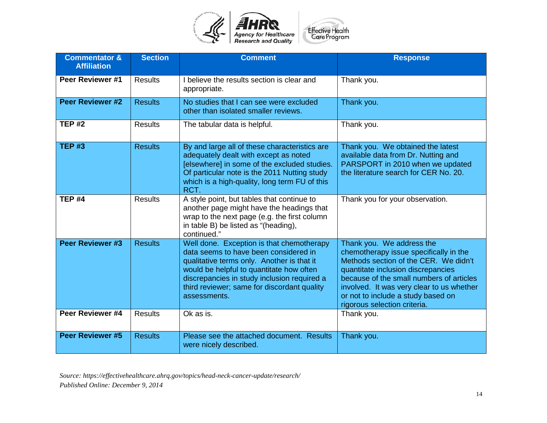

| <b>Commentator &amp;</b><br><b>Affiliation</b> | <b>Section</b> | <b>Comment</b>                                                                                                                                                                                                                                                                             | <b>Response</b>                                                                                                                                                                                                                                                                                                   |
|------------------------------------------------|----------------|--------------------------------------------------------------------------------------------------------------------------------------------------------------------------------------------------------------------------------------------------------------------------------------------|-------------------------------------------------------------------------------------------------------------------------------------------------------------------------------------------------------------------------------------------------------------------------------------------------------------------|
| Peer Reviewer #1                               | <b>Results</b> | I believe the results section is clear and<br>appropriate.                                                                                                                                                                                                                                 | Thank you.                                                                                                                                                                                                                                                                                                        |
| <b>Peer Reviewer #2</b>                        | <b>Results</b> | No studies that I can see were excluded<br>other than isolated smaller reviews.                                                                                                                                                                                                            | Thank you.                                                                                                                                                                                                                                                                                                        |
| <b>TEP #2</b>                                  | <b>Results</b> | The tabular data is helpful.                                                                                                                                                                                                                                                               | Thank you.                                                                                                                                                                                                                                                                                                        |
| <b>TEP #3</b>                                  | <b>Results</b> | By and large all of these characteristics are<br>adequately dealt with except as noted<br>[elsewhere] in some of the excluded studies.<br>Of particular note is the 2011 Nutting study<br>which is a high-quality, long term FU of this<br>RCT.                                            | Thank you. We obtained the latest<br>available data from Dr. Nutting and<br>PARSPORT in 2010 when we updated<br>the literature search for CER No. 20.                                                                                                                                                             |
| <b>TEP #4</b>                                  | <b>Results</b> | A style point, but tables that continue to<br>another page might have the headings that<br>wrap to the next page (e.g. the first column<br>in table B) be listed as "(heading),<br>continued."                                                                                             | Thank you for your observation.                                                                                                                                                                                                                                                                                   |
| <b>Peer Reviewer #3</b>                        | <b>Results</b> | Well done. Exception is that chemotherapy<br>data seems to have been considered in<br>qualitative terms only. Another is that it<br>would be helpful to quantitate how often<br>discrepancies in study inclusion required a<br>third reviewer; same for discordant quality<br>assessments. | Thank you. We address the<br>chemotherapy issue specifically in the<br>Methods section of the CER. We didn't<br>quantitate inclusion discrepancies<br>because of the small numbers of articles<br>involved. It was very clear to us whether<br>or not to include a study based on<br>rigorous selection criteria. |
| Peer Reviewer #4                               | <b>Results</b> | Ok as is.                                                                                                                                                                                                                                                                                  | Thank you.                                                                                                                                                                                                                                                                                                        |
| <b>Peer Reviewer #5</b>                        | <b>Results</b> | Please see the attached document. Results<br>were nicely described.                                                                                                                                                                                                                        | Thank you.                                                                                                                                                                                                                                                                                                        |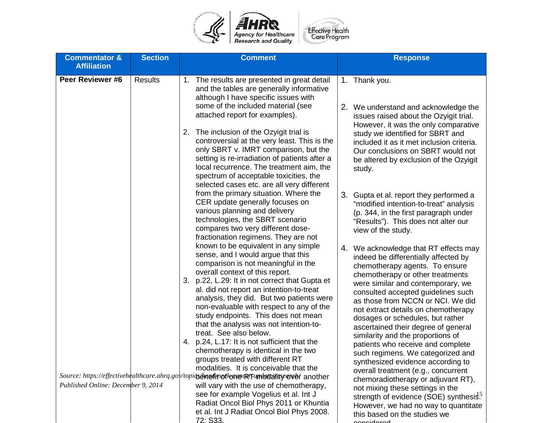

| <b>Commentator &amp;</b>           | <b>Section</b> | <b>Comment</b>                                                                                                                                                                                                                                                     | <b>Response</b>                                                                                                                                                                                                                                          |
|------------------------------------|----------------|--------------------------------------------------------------------------------------------------------------------------------------------------------------------------------------------------------------------------------------------------------------------|----------------------------------------------------------------------------------------------------------------------------------------------------------------------------------------------------------------------------------------------------------|
| <b>Affiliation</b>                 |                |                                                                                                                                                                                                                                                                    |                                                                                                                                                                                                                                                          |
| Peer Reviewer #6                   | <b>Results</b> | 1. The results are presented in great detail<br>and the tables are generally informative<br>although I have specific issues with<br>some of the included material (see                                                                                             | 1. Thank you.<br>2. We understand and acknowledge the                                                                                                                                                                                                    |
|                                    |                | attached report for examples).<br>2. The inclusion of the Ozyigit trial is<br>controversial at the very least. This is the<br>only SBRT v. IMRT comparison, but the<br>setting is re-irradiation of patients after a<br>local recurrence. The treatment aim, the   | issues raised about the Ozyigit trial.<br>However, it was the only comparative<br>study we identified for SBRT and<br>included it as it met inclusion criteria.<br>Our conclusions on SBRT would not<br>be altered by exclusion of the Ozyigit<br>study. |
|                                    |                | spectrum of acceptable toxicities, the<br>selected cases etc. are all very different                                                                                                                                                                               |                                                                                                                                                                                                                                                          |
|                                    |                | from the primary situation. Where the<br>CER update generally focuses on<br>various planning and delivery<br>technologies, the SBRT scenario<br>compares two very different dose-<br>fractionation regimens. They are not                                          | 3. Gupta et al. report they performed a<br>"modified intention-to-treat" analysis<br>(p. 344, in the first paragraph under<br>"Results"). This does not alter our<br>view of the study.                                                                  |
|                                    |                | known to be equivalent in any simple<br>sense, and I would argue that this<br>comparison is not meaningful in the<br>overall context of this report.<br>3. p.22, L.29: It in not correct that Gupta et<br>al. did not report an intention-to-treat                 | 4. We acknowledge that RT effects may<br>indeed be differentially affected by<br>chemotherapy agents. To ensure<br>chemotherapy or other treatments<br>were similar and contemporary, we<br>consulted accepted guidelines such                           |
|                                    |                | analysis, they did. But two patients were<br>non-evaluable with respect to any of the<br>study endpoints. This does not mean<br>that the analysis was not intention-to-<br>treat. See also below.                                                                  | as those from NCCN or NCI. We did<br>not extract details on chemotherapy<br>dosages or schedules, but rather<br>ascertained their degree of general<br>similarity and the proportions of                                                                 |
|                                    |                | p.24, L.17: It is not sufficient that the<br>4.<br>chemotherapy is identical in the two<br>groups treated with different RT<br>modalities. It is conceivable that the<br>Source: https://effectivehealthcare.ahrq.gov/topiqs&nethtrefkome@RTumbedathsp@ver another | patients who receive and complete<br>such regimens. We categorized and<br>synthesized evidence according to<br>overall treatment (e.g., concurrent                                                                                                       |
| Published Online: December 9, 2014 |                | will vary with the use of chemotherapy,<br>see for example Vogelius et al. Int J<br>Radiat Oncol Biol Phys 2011 or Khuntia<br>et al. Int J Radiat Oncol Biol Phys 2008.<br>72: S33                                                                                 | chemoradiotherapy or adjuvant RT),<br>not mixing these settings in the<br>strength of evidence (SOE) synthesis. <sup>5</sup><br>However, we had no way to quantitate<br>this based on the studies we<br>لممعمامنممد                                      |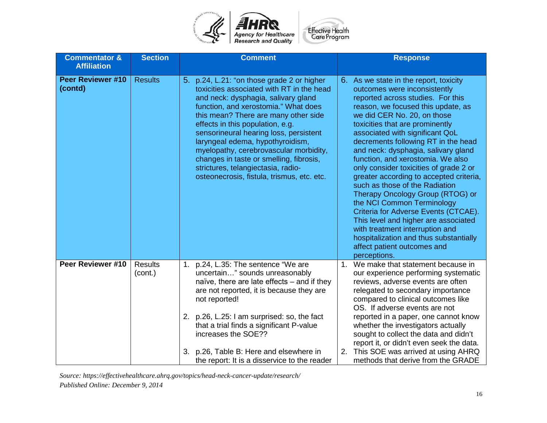

| <b>Commentator &amp;</b><br><b>Affiliation</b> | <b>Section</b>            | <b>Comment</b>                                                                                                                                                                                                                                                                                                                                                                                                                                                                                            | <b>Response</b>                                                                                                                                                                                                                                                                                                                                                                                                                                                                                                                                                                                                                                                                                                                                                                |
|------------------------------------------------|---------------------------|-----------------------------------------------------------------------------------------------------------------------------------------------------------------------------------------------------------------------------------------------------------------------------------------------------------------------------------------------------------------------------------------------------------------------------------------------------------------------------------------------------------|--------------------------------------------------------------------------------------------------------------------------------------------------------------------------------------------------------------------------------------------------------------------------------------------------------------------------------------------------------------------------------------------------------------------------------------------------------------------------------------------------------------------------------------------------------------------------------------------------------------------------------------------------------------------------------------------------------------------------------------------------------------------------------|
| <b>Peer Reviewer #10</b><br>(contd)            | <b>Results</b>            | 5. p.24, L.21: "on those grade 2 or higher<br>toxicities associated with RT in the head<br>and neck: dysphagia, salivary gland<br>function, and xerostomia." What does<br>this mean? There are many other side<br>effects in this population, e.g.<br>sensorineural hearing loss, persistent<br>laryngeal edema, hypothyroidism,<br>myelopathy, cerebrovascular morbidity,<br>changes in taste or smelling, fibrosis,<br>strictures, telangiectasia, radio-<br>osteonecrosis, fistula, trismus, etc. etc. | 6. As we state in the report, toxicity<br>outcomes were inconsistently<br>reported across studies. For this<br>reason, we focused this update, as<br>we did CER No. 20, on those<br>toxicities that are prominently<br>associated with significant QoL<br>decrements following RT in the head<br>and neck: dysphagia, salivary gland<br>function, and xerostomia. We also<br>only consider toxicities of grade 2 or<br>greater according to accepted criteria,<br>such as those of the Radiation<br>Therapy Oncology Group (RTOG) or<br>the NCI Common Terminology<br>Criteria for Adverse Events (CTCAE).<br>This level and higher are associated<br>with treatment interruption and<br>hospitalization and thus substantially<br>affect patient outcomes and<br>perceptions. |
| Peer Reviewer #10                              | <b>Results</b><br>(cont.) | p.24, L.35: The sentence "We are<br>1.<br>uncertain" sounds unreasonably<br>naïve, there are late effects - and if they<br>are not reported, it is because they are<br>not reported!<br>p.26, L.25: I am surprised: so, the fact<br>2.<br>that a trial finds a significant P-value<br>increases the SOE??                                                                                                                                                                                                 | We make that statement because in<br>1.<br>our experience performing systematic<br>reviews, adverse events are often<br>relegated to secondary importance<br>compared to clinical outcomes like<br>OS. If adverse events are not<br>reported in a paper, one cannot know<br>whether the investigators actually<br>sought to collect the data and didn't<br>report it, or didn't even seek the data.                                                                                                                                                                                                                                                                                                                                                                            |
|                                                |                           | p.26, Table B: Here and elsewhere in<br>3.<br>the report: It is a disservice to the reader                                                                                                                                                                                                                                                                                                                                                                                                                | This SOE was arrived at using AHRQ<br>2.<br>methods that derive from the GRADE                                                                                                                                                                                                                                                                                                                                                                                                                                                                                                                                                                                                                                                                                                 |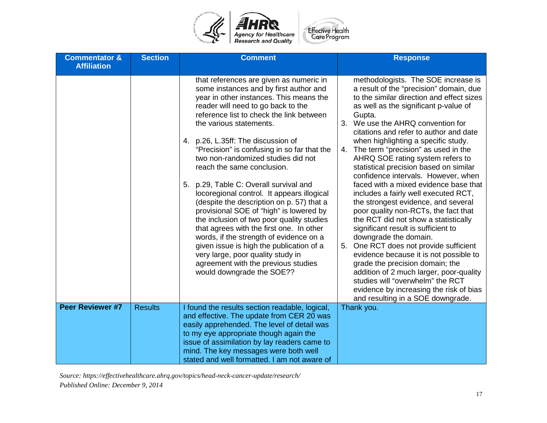

| <b>Commentator &amp;</b> | <b>Section</b> | <b>Comment</b>                                                                                                                                                                                                                                                                                                                                                                                                                                                                                                                                                                                                                                                                                                                                                                                                                                       | <b>Response</b>                                                                                                                                                                                                                                                                                                                                                                                                                                                                                                                                                                                                                                                                                                                                                                                                                                                             |
|--------------------------|----------------|------------------------------------------------------------------------------------------------------------------------------------------------------------------------------------------------------------------------------------------------------------------------------------------------------------------------------------------------------------------------------------------------------------------------------------------------------------------------------------------------------------------------------------------------------------------------------------------------------------------------------------------------------------------------------------------------------------------------------------------------------------------------------------------------------------------------------------------------------|-----------------------------------------------------------------------------------------------------------------------------------------------------------------------------------------------------------------------------------------------------------------------------------------------------------------------------------------------------------------------------------------------------------------------------------------------------------------------------------------------------------------------------------------------------------------------------------------------------------------------------------------------------------------------------------------------------------------------------------------------------------------------------------------------------------------------------------------------------------------------------|
| <b>Affiliation</b>       |                |                                                                                                                                                                                                                                                                                                                                                                                                                                                                                                                                                                                                                                                                                                                                                                                                                                                      |                                                                                                                                                                                                                                                                                                                                                                                                                                                                                                                                                                                                                                                                                                                                                                                                                                                                             |
|                          |                | that references are given as numeric in<br>some instances and by first author and<br>year in other instances. This means the<br>reader will need to go back to the<br>reference list to check the link between<br>the various statements.<br>p.26, L.35ff: The discussion of<br>4.<br>"Precision" is confusing in so far that the<br>two non-randomized studies did not<br>reach the same conclusion.<br>p.29, Table C: Overall survival and<br>5.<br>locoregional control. It appears illogical<br>(despite the description on p. 57) that a<br>provisional SOE of "high" is lowered by<br>the inclusion of two poor quality studies<br>that agrees with the first one. In other<br>words, if the strength of evidence on a<br>given issue is high the publication of a<br>very large, poor quality study in<br>agreement with the previous studies | methodologists. The SOE increase is<br>a result of the "precision" domain, due<br>to the similar direction and effect sizes<br>as well as the significant p-value of<br>Gupta.<br>We use the AHRQ convention for<br>3.<br>citations and refer to author and date<br>when highlighting a specific study.<br>The term "precision" as used in the<br>4.<br>AHRQ SOE rating system refers to<br>statistical precision based on similar<br>confidence intervals. However, when<br>faced with a mixed evidence base that<br>includes a fairly well executed RCT,<br>the strongest evidence, and several<br>poor quality non-RCTs, the fact that<br>the RCT did not show a statistically<br>significant result is sufficient to<br>downgrade the domain.<br>One RCT does not provide sufficient<br>5.<br>evidence because it is not possible to<br>grade the precision domain; the |
|                          |                | would downgrade the SOE??                                                                                                                                                                                                                                                                                                                                                                                                                                                                                                                                                                                                                                                                                                                                                                                                                            | addition of 2 much larger, poor-quality<br>studies will "overwhelm" the RCT<br>evidence by increasing the risk of bias<br>and resulting in a SOE downgrade.                                                                                                                                                                                                                                                                                                                                                                                                                                                                                                                                                                                                                                                                                                                 |
| <b>Peer Reviewer #7</b>  | <b>Results</b> | I found the results section readable, logical,                                                                                                                                                                                                                                                                                                                                                                                                                                                                                                                                                                                                                                                                                                                                                                                                       | Thank you.                                                                                                                                                                                                                                                                                                                                                                                                                                                                                                                                                                                                                                                                                                                                                                                                                                                                  |
|                          |                | and effective. The update from CER 20 was                                                                                                                                                                                                                                                                                                                                                                                                                                                                                                                                                                                                                                                                                                                                                                                                            |                                                                                                                                                                                                                                                                                                                                                                                                                                                                                                                                                                                                                                                                                                                                                                                                                                                                             |
|                          |                | easily apprehended. The level of detail was                                                                                                                                                                                                                                                                                                                                                                                                                                                                                                                                                                                                                                                                                                                                                                                                          |                                                                                                                                                                                                                                                                                                                                                                                                                                                                                                                                                                                                                                                                                                                                                                                                                                                                             |
|                          |                | to my eye appropriate though again the                                                                                                                                                                                                                                                                                                                                                                                                                                                                                                                                                                                                                                                                                                                                                                                                               |                                                                                                                                                                                                                                                                                                                                                                                                                                                                                                                                                                                                                                                                                                                                                                                                                                                                             |
|                          |                | issue of assimilation by lay readers came to<br>mind. The key messages were both well                                                                                                                                                                                                                                                                                                                                                                                                                                                                                                                                                                                                                                                                                                                                                                |                                                                                                                                                                                                                                                                                                                                                                                                                                                                                                                                                                                                                                                                                                                                                                                                                                                                             |
|                          |                | stated and well formatted. I am not aware of                                                                                                                                                                                                                                                                                                                                                                                                                                                                                                                                                                                                                                                                                                                                                                                                         |                                                                                                                                                                                                                                                                                                                                                                                                                                                                                                                                                                                                                                                                                                                                                                                                                                                                             |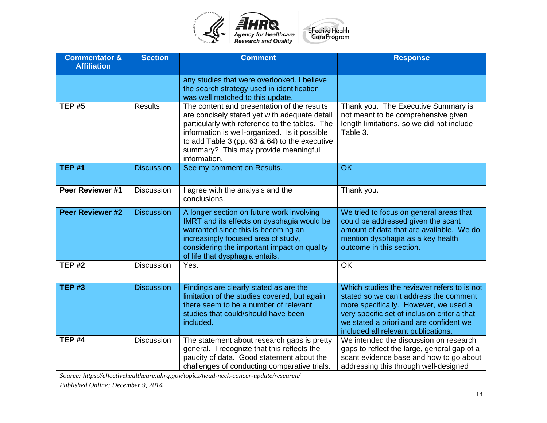

| <b>Commentator &amp;</b><br><b>Affiliation</b> | <b>Section</b>    | <b>Comment</b>                                                                                                                                                                                                                                                                                           | <b>Response</b>                                                                                                                                                                                                                                                  |
|------------------------------------------------|-------------------|----------------------------------------------------------------------------------------------------------------------------------------------------------------------------------------------------------------------------------------------------------------------------------------------------------|------------------------------------------------------------------------------------------------------------------------------------------------------------------------------------------------------------------------------------------------------------------|
|                                                |                   | any studies that were overlooked. I believe<br>the search strategy used in identification<br>was well matched to this update.                                                                                                                                                                            |                                                                                                                                                                                                                                                                  |
| <b>TEP #5</b>                                  | <b>Results</b>    | The content and presentation of the results<br>are concisely stated yet with adequate detail<br>particularly with reference to the tables. The<br>information is well-organized. Is it possible<br>to add Table 3 (pp. 63 & 64) to the executive<br>summary? This may provide meaningful<br>information. | Thank you. The Executive Summary is<br>not meant to be comprehensive given<br>length limitations, so we did not include<br>Table 3.                                                                                                                              |
| <b>TEP #1</b>                                  | <b>Discussion</b> | See my comment on Results.                                                                                                                                                                                                                                                                               | OK                                                                                                                                                                                                                                                               |
| Peer Reviewer #1                               | <b>Discussion</b> | I agree with the analysis and the<br>conclusions.                                                                                                                                                                                                                                                        | Thank you.                                                                                                                                                                                                                                                       |
| <b>Peer Reviewer #2</b>                        | <b>Discussion</b> | A longer section on future work involving<br>IMRT and its effects on dysphagia would be<br>warranted since this is becoming an<br>increasingly focused area of study,<br>considering the important impact on quality<br>of life that dysphagia entails.                                                  | We tried to focus on general areas that<br>could be addressed given the scant<br>amount of data that are available. We do<br>mention dysphagia as a key health<br>outcome in this section.                                                                       |
| <b>TEP #2</b>                                  | <b>Discussion</b> | Yes.                                                                                                                                                                                                                                                                                                     | <b>OK</b>                                                                                                                                                                                                                                                        |
| <b>TEP #3</b>                                  | <b>Discussion</b> | Findings are clearly stated as are the<br>limitation of the studies covered, but again<br>there seem to be a number of relevant<br>studies that could/should have been<br>included.                                                                                                                      | Which studies the reviewer refers to is not<br>stated so we can't address the comment<br>more specifically. However, we used a<br>very specific set of inclusion criteria that<br>we stated a priori and are confident we<br>included all relevant publications. |
| <b>TEP #4</b>                                  | <b>Discussion</b> | The statement about research gaps is pretty<br>general. I recognize that this reflects the<br>paucity of data. Good statement about the<br>challenges of conducting comparative trials.                                                                                                                  | We intended the discussion on research<br>gaps to reflect the large, general gap of a<br>scant evidence base and how to go about<br>addressing this through well-designed                                                                                        |

*Source: https://effectivehealthcare.ahrq.gov/topics/head-neck-cancer-update/research/*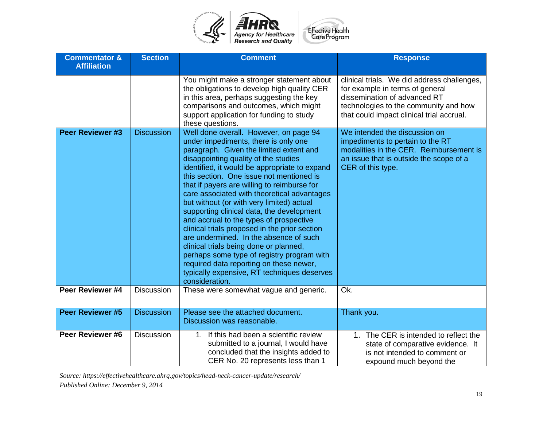

| <b>Commentator &amp;</b><br><b>Affiliation</b> | <b>Section</b>    | <b>Comment</b>                                                                                                                                                                                                                                                                                                                                                                                                                                                                                                                                                                                                                                                                                                                                                                                   | <b>Response</b>                                                                                                                                                                                      |
|------------------------------------------------|-------------------|--------------------------------------------------------------------------------------------------------------------------------------------------------------------------------------------------------------------------------------------------------------------------------------------------------------------------------------------------------------------------------------------------------------------------------------------------------------------------------------------------------------------------------------------------------------------------------------------------------------------------------------------------------------------------------------------------------------------------------------------------------------------------------------------------|------------------------------------------------------------------------------------------------------------------------------------------------------------------------------------------------------|
|                                                |                   | You might make a stronger statement about<br>the obligations to develop high quality CER<br>in this area, perhaps suggesting the key<br>comparisons and outcomes, which might<br>support application for funding to study<br>these questions.                                                                                                                                                                                                                                                                                                                                                                                                                                                                                                                                                    | clinical trials. We did address challenges,<br>for example in terms of general<br>dissemination of advanced RT<br>technologies to the community and how<br>that could impact clinical trial accrual. |
| <b>Peer Reviewer #3</b>                        | <b>Discussion</b> | Well done overall. However, on page 94<br>under impediments, there is only one<br>paragraph. Given the limited extent and<br>disappointing quality of the studies<br>identified, it would be appropriate to expand<br>this section. One issue not mentioned is<br>that if payers are willing to reimburse for<br>care associated with theoretical advantages<br>but without (or with very limited) actual<br>supporting clinical data, the development<br>and accrual to the types of prospective<br>clinical trials proposed in the prior section<br>are undermined. In the absence of such<br>clinical trials being done or planned,<br>perhaps some type of registry program with<br>required data reporting on these newer,<br>typically expensive, RT techniques deserves<br>consideration. | We intended the discussion on<br>impediments to pertain to the RT<br>modalities in the CER. Reimbursement is<br>an issue that is outside the scope of a<br>CER of this type.                         |
| Peer Reviewer #4                               | <b>Discussion</b> | These were somewhat vague and generic.                                                                                                                                                                                                                                                                                                                                                                                                                                                                                                                                                                                                                                                                                                                                                           | Ok.                                                                                                                                                                                                  |
| <b>Peer Reviewer #5</b>                        | <b>Discussion</b> | Please see the attached document.<br>Discussion was reasonable.                                                                                                                                                                                                                                                                                                                                                                                                                                                                                                                                                                                                                                                                                                                                  | Thank you.                                                                                                                                                                                           |
| Peer Reviewer #6                               | <b>Discussion</b> | 1. If this had been a scientific review<br>submitted to a journal, I would have<br>concluded that the insights added to<br>CER No. 20 represents less than 1                                                                                                                                                                                                                                                                                                                                                                                                                                                                                                                                                                                                                                     | 1. The CER is intended to reflect the<br>state of comparative evidence. It<br>is not intended to comment or<br>expound much beyond the                                                               |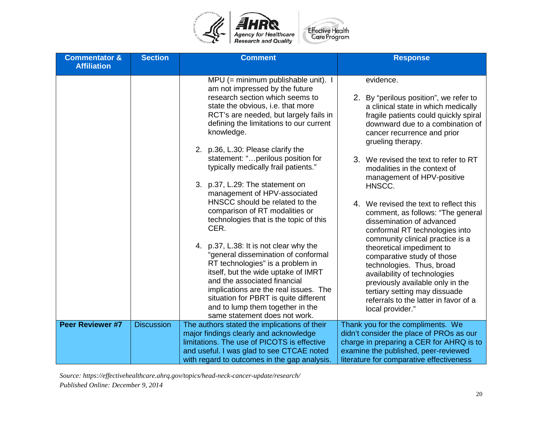

| <b>Commentator &amp;</b><br><b>Affiliation</b> | <b>Section</b>    | <b>Comment</b>                                                                                                                                                                                                                                                                                                                                  | <b>Response</b>                                                                                                                                                                                                                                        |
|------------------------------------------------|-------------------|-------------------------------------------------------------------------------------------------------------------------------------------------------------------------------------------------------------------------------------------------------------------------------------------------------------------------------------------------|--------------------------------------------------------------------------------------------------------------------------------------------------------------------------------------------------------------------------------------------------------|
|                                                |                   | $MPU$ (= minimum publishable unit). I<br>am not impressed by the future<br>research section which seems to<br>state the obvious, i.e. that more<br>RCT's are needed, but largely fails in<br>defining the limitations to our current<br>knowledge.                                                                                              | evidence.<br>2. By "perilous position", we refer to<br>a clinical state in which medically<br>fragile patients could quickly spiral<br>downward due to a combination of<br>cancer recurrence and prior<br>grueling therapy.                            |
|                                                |                   | 2. p.36, L.30: Please clarify the<br>statement: " perilous position for<br>typically medically frail patients."<br>3. p.37, L.29: The statement on<br>management of HPV-associated                                                                                                                                                              | 3. We revised the text to refer to RT<br>modalities in the context of<br>management of HPV-positive<br>HNSCC.                                                                                                                                          |
|                                                |                   | HNSCC should be related to the<br>comparison of RT modalities or<br>technologies that is the topic of this<br>CER.                                                                                                                                                                                                                              | 4. We revised the text to reflect this<br>comment, as follows: "The general<br>dissemination of advanced<br>conformal RT technologies into<br>community clinical practice is a                                                                         |
|                                                |                   | 4. p.37, L.38: It is not clear why the<br>"general dissemination of conformal<br>RT technologies" is a problem in<br>itself, but the wide uptake of IMRT<br>and the associated financial<br>implications are the real issues. The<br>situation for PBRT is quite different<br>and to lump them together in the<br>same statement does not work. | theoretical impediment to<br>comparative study of those<br>technologies. Thus, broad<br>availability of technologies<br>previously available only in the<br>tertiary setting may dissuade<br>referrals to the latter in favor of a<br>local provider." |
| <b>Peer Reviewer #7</b>                        | <b>Discussion</b> | The authors stated the implications of their<br>major findings clearly and acknowledge<br>limitations. The use of PICOTS is effective<br>and useful. I was glad to see CTCAE noted<br>with regard to outcomes in the gap analysis.                                                                                                              | Thank you for the compliments. We<br>didn't consider the place of PROs as our<br>charge in preparing a CER for AHRQ is to<br>examine the published, peer-reviewed<br>literature for comparative effectiveness                                          |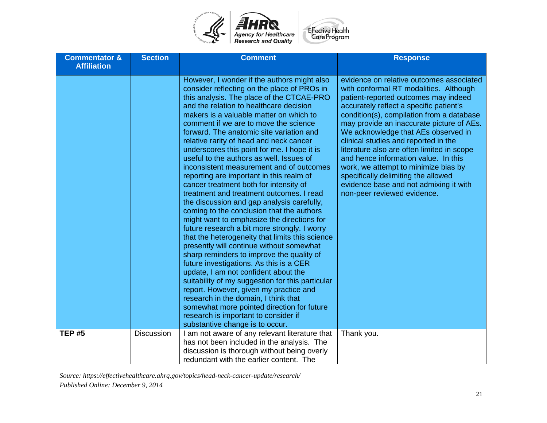

| <b>Commentator &amp;</b><br><b>Affiliation</b> | <b>Section</b>    | <b>Comment</b>                                                                                                                                                                                                                                                                                                                                                                                                                                                                                                                                                                                                                                                                                                                                                                                                                                                                                                                                                                                                                                                                                                                                                                                                                                                                                                                | <b>Response</b>                                                                                                                                                                                                                                                                                                                                                                                                                                                                                                                                                                              |
|------------------------------------------------|-------------------|-------------------------------------------------------------------------------------------------------------------------------------------------------------------------------------------------------------------------------------------------------------------------------------------------------------------------------------------------------------------------------------------------------------------------------------------------------------------------------------------------------------------------------------------------------------------------------------------------------------------------------------------------------------------------------------------------------------------------------------------------------------------------------------------------------------------------------------------------------------------------------------------------------------------------------------------------------------------------------------------------------------------------------------------------------------------------------------------------------------------------------------------------------------------------------------------------------------------------------------------------------------------------------------------------------------------------------|----------------------------------------------------------------------------------------------------------------------------------------------------------------------------------------------------------------------------------------------------------------------------------------------------------------------------------------------------------------------------------------------------------------------------------------------------------------------------------------------------------------------------------------------------------------------------------------------|
|                                                |                   | However, I wonder if the authors might also<br>consider reflecting on the place of PROs in<br>this analysis. The place of the CTCAE-PRO<br>and the relation to healthcare decision<br>makers is a valuable matter on which to<br>comment if we are to move the science<br>forward. The anatomic site variation and<br>relative rarity of head and neck cancer<br>underscores this point for me. I hope it is<br>useful to the authors as well. Issues of<br>inconsistent measurement and of outcomes<br>reporting are important in this realm of<br>cancer treatment both for intensity of<br>treatment and treatment outcomes. I read<br>the discussion and gap analysis carefully,<br>coming to the conclusion that the authors<br>might want to emphasize the directions for<br>future research a bit more strongly. I worry<br>that the heterogeneity that limits this science<br>presently will continue without somewhat<br>sharp reminders to improve the quality of<br>future investigations. As this is a CER<br>update, I am not confident about the<br>suitability of my suggestion for this particular<br>report. However, given my practice and<br>research in the domain, I think that<br>somewhat more pointed direction for future<br>research is important to consider if<br>substantive change is to occur. | evidence on relative outcomes associated<br>with conformal RT modalities. Although<br>patient-reported outcomes may indeed<br>accurately reflect a specific patient's<br>condition(s), compilation from a database<br>may provide an inaccurate picture of AEs.<br>We acknowledge that AEs observed in<br>clinical studies and reported in the<br>literature also are often limited in scope<br>and hence information value. In this<br>work, we attempt to minimize bias by<br>specifically delimiting the allowed<br>evidence base and not admixing it with<br>non-peer reviewed evidence. |
| <b>TEP #5</b>                                  | <b>Discussion</b> | I am not aware of any relevant literature that<br>has not been included in the analysis. The<br>discussion is thorough without being overly<br>redundant with the earlier content. The                                                                                                                                                                                                                                                                                                                                                                                                                                                                                                                                                                                                                                                                                                                                                                                                                                                                                                                                                                                                                                                                                                                                        | Thank you.                                                                                                                                                                                                                                                                                                                                                                                                                                                                                                                                                                                   |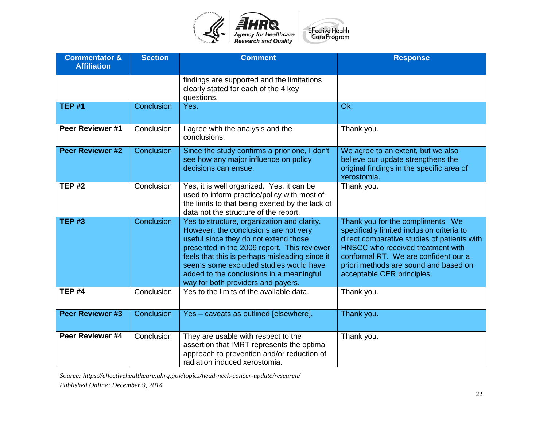

| <b>Commentator &amp;</b><br><b>Affiliation</b> | <b>Section</b> | <b>Comment</b>                                                                                                                                                                                                                                                                                                                                             | <b>Response</b>                                                                                                                                                                                                                                                                    |
|------------------------------------------------|----------------|------------------------------------------------------------------------------------------------------------------------------------------------------------------------------------------------------------------------------------------------------------------------------------------------------------------------------------------------------------|------------------------------------------------------------------------------------------------------------------------------------------------------------------------------------------------------------------------------------------------------------------------------------|
|                                                |                | findings are supported and the limitations<br>clearly stated for each of the 4 key<br>questions.                                                                                                                                                                                                                                                           |                                                                                                                                                                                                                                                                                    |
| <b>TEP #1</b>                                  | Conclusion     | Yes.                                                                                                                                                                                                                                                                                                                                                       | Ok.                                                                                                                                                                                                                                                                                |
| Peer Reviewer #1                               | Conclusion     | I agree with the analysis and the<br>conclusions.                                                                                                                                                                                                                                                                                                          | Thank you.                                                                                                                                                                                                                                                                         |
| <b>Peer Reviewer #2</b>                        | Conclusion     | Since the study confirms a prior one, I don't<br>see how any major influence on policy<br>decisions can ensue.                                                                                                                                                                                                                                             | We agree to an extent, but we also<br>believe our update strengthens the<br>original findings in the specific area of<br>xerostomia.                                                                                                                                               |
| <b>TEP #2</b>                                  | Conclusion     | Yes, it is well organized. Yes, it can be<br>used to inform practice/policy with most of<br>the limits to that being exerted by the lack of<br>data not the structure of the report.                                                                                                                                                                       | Thank you.                                                                                                                                                                                                                                                                         |
| <b>TEP #3</b>                                  | Conclusion     | Yes to structure, organization and clarity.<br>However, the conclusions are not very<br>useful since they do not extend those<br>presented in the 2009 report. This reviewer<br>feels that this is perhaps misleading since it<br>seems some excluded studies would have<br>added to the conclusions in a meaningful<br>way for both providers and payers. | Thank you for the compliments. We<br>specifically limited inclusion criteria to<br>direct comparative studies of patients with<br>HNSCC who received treatment with<br>conformal RT. We are confident our a<br>priori methods are sound and based on<br>acceptable CER principles. |
| <b>TEP #4</b>                                  | Conclusion     | Yes to the limits of the available data.                                                                                                                                                                                                                                                                                                                   | Thank you.                                                                                                                                                                                                                                                                         |
| <b>Peer Reviewer #3</b>                        | Conclusion     | Yes - caveats as outlined [elsewhere].                                                                                                                                                                                                                                                                                                                     | Thank you.                                                                                                                                                                                                                                                                         |
| Peer Reviewer #4                               | Conclusion     | They are usable with respect to the<br>assertion that IMRT represents the optimal<br>approach to prevention and/or reduction of<br>radiation induced xerostomia.                                                                                                                                                                                           | Thank you.                                                                                                                                                                                                                                                                         |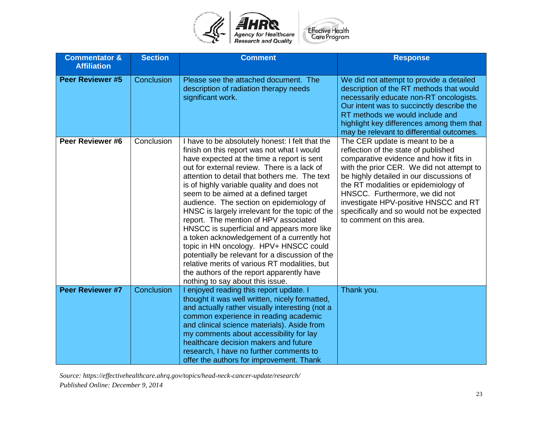

| <b>Commentator &amp;</b><br><b>Affiliation</b> | <b>Section</b> | <b>Comment</b>                                                                                                                                                                                                                                                                                                                                                                                                                                                                                                                                                                                                                                                                                                                                                                                       | <b>Response</b>                                                                                                                                                                                                                                                                                                                                                                                         |
|------------------------------------------------|----------------|------------------------------------------------------------------------------------------------------------------------------------------------------------------------------------------------------------------------------------------------------------------------------------------------------------------------------------------------------------------------------------------------------------------------------------------------------------------------------------------------------------------------------------------------------------------------------------------------------------------------------------------------------------------------------------------------------------------------------------------------------------------------------------------------------|---------------------------------------------------------------------------------------------------------------------------------------------------------------------------------------------------------------------------------------------------------------------------------------------------------------------------------------------------------------------------------------------------------|
| Peer Reviewer #5                               | Conclusion     | Please see the attached document. The<br>description of radiation therapy needs<br>significant work.                                                                                                                                                                                                                                                                                                                                                                                                                                                                                                                                                                                                                                                                                                 | We did not attempt to provide a detailed<br>description of the RT methods that would<br>necessarily educate non-RT oncologists.<br>Our intent was to succinctly describe the<br>RT methods we would include and<br>highlight key differences among them that<br>may be relevant to differential outcomes.                                                                                               |
| Peer Reviewer #6                               | Conclusion     | I have to be absolutely honest: I felt that the<br>finish on this report was not what I would<br>have expected at the time a report is sent<br>out for external review. There is a lack of<br>attention to detail that bothers me. The text<br>is of highly variable quality and does not<br>seem to be aimed at a defined target<br>audience. The section on epidemiology of<br>HNSC is largely irrelevant for the topic of the<br>report. The mention of HPV associated<br>HNSCC is superficial and appears more like<br>a token acknowledgement of a currently hot<br>topic in HN oncology. HPV+ HNSCC could<br>potentially be relevant for a discussion of the<br>relative merits of various RT modalities, but<br>the authors of the report apparently have<br>nothing to say about this issue. | The CER update is meant to be a<br>reflection of the state of published<br>comparative evidence and how it fits in<br>with the prior CER. We did not attempt to<br>be highly detailed in our discussions of<br>the RT modalities or epidemiology of<br>HNSCC. Furthermore, we did not<br>investigate HPV-positive HNSCC and RT<br>specifically and so would not be expected<br>to comment on this area. |
| Peer Reviewer #7                               | Conclusion     | enjoyed reading this report update. I<br>thought it was well written, nicely formatted,<br>and actually rather visually interesting (not a<br>common experience in reading academic<br>and clinical science materials). Aside from<br>my comments about accessibility for lay<br>healthcare decision makers and future<br>research, I have no further comments to<br>offer the authors for improvement. Thank                                                                                                                                                                                                                                                                                                                                                                                        | Thank you.                                                                                                                                                                                                                                                                                                                                                                                              |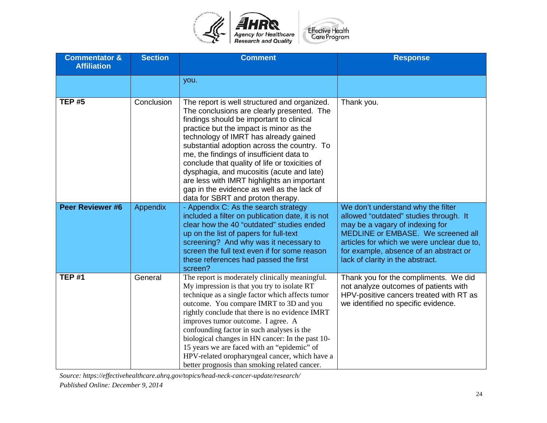

| <b>Commentator &amp;</b><br><b>Affiliation</b> | <b>Section</b> | <b>Comment</b>                                                                                                                                                                                                                                                                                                                                                                                                                                                                                                                                        | <b>Response</b>                                                                                                                                                                                                                                                                   |
|------------------------------------------------|----------------|-------------------------------------------------------------------------------------------------------------------------------------------------------------------------------------------------------------------------------------------------------------------------------------------------------------------------------------------------------------------------------------------------------------------------------------------------------------------------------------------------------------------------------------------------------|-----------------------------------------------------------------------------------------------------------------------------------------------------------------------------------------------------------------------------------------------------------------------------------|
|                                                |                | you.                                                                                                                                                                                                                                                                                                                                                                                                                                                                                                                                                  |                                                                                                                                                                                                                                                                                   |
| <b>TEP #5</b>                                  | Conclusion     | The report is well structured and organized.<br>The conclusions are clearly presented. The<br>findings should be important to clinical<br>practice but the impact is minor as the<br>technology of IMRT has already gained<br>substantial adoption across the country. To<br>me, the findings of insufficient data to<br>conclude that quality of life or toxicities of<br>dysphagia, and mucositis (acute and late)<br>are less with IMRT highlights an important<br>gap in the evidence as well as the lack of<br>data for SBRT and proton therapy. | Thank you.                                                                                                                                                                                                                                                                        |
| <b>Peer Reviewer #6</b>                        | Appendix       | - Appendix C: As the search strategy<br>included a filter on publication date, it is not<br>clear how the 40 "outdated" studies ended<br>up on the list of papers for full-text<br>screening? And why was it necessary to<br>screen the full text even if for some reason<br>these references had passed the first<br>screen?                                                                                                                                                                                                                         | We don't understand why the filter<br>allowed "outdated" studies through. It<br>may be a vagary of indexing for<br>MEDLINE or EMBASE. We screened all<br>articles for which we were unclear due to,<br>for example, absence of an abstract or<br>lack of clarity in the abstract. |
| <b>TEP #1</b>                                  | General        | The report is moderately clinically meaningful.<br>My impression is that you try to isolate RT<br>technique as a single factor which affects tumor<br>outcome. You compare IMRT to 3D and you<br>rightly conclude that there is no evidence IMRT<br>improves tumor outcome. I agree. A<br>confounding factor in such analyses is the<br>biological changes in HN cancer: In the past 10-<br>15 years we are faced with an "epidemic" of<br>HPV-related oropharyngeal cancer, which have a<br>better prognosis than smoking related cancer.            | Thank you for the compliments. We did<br>not analyze outcomes of patients with<br>HPV-positive cancers treated with RT as<br>we identified no specific evidence.                                                                                                                  |

*Source: https://effectivehealthcare.ahrq.gov/topics/head-neck-cancer-update/research/*

*Published Online: December 9, 2014*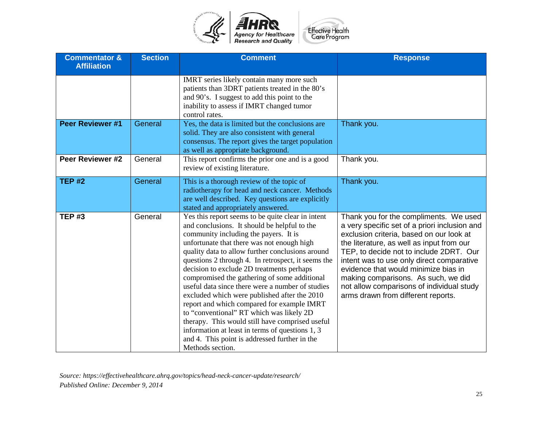

| <b>Commentator &amp;</b><br><b>Affiliation</b> | <b>Section</b> | <b>Comment</b>                                                                                                                                                                                                                                                                                                                                                                                                                                                                                                                                                                                                                                                                                                                                                           | <b>Response</b>                                                                                                                                                                                                                                                                                                                                                                                                                            |
|------------------------------------------------|----------------|--------------------------------------------------------------------------------------------------------------------------------------------------------------------------------------------------------------------------------------------------------------------------------------------------------------------------------------------------------------------------------------------------------------------------------------------------------------------------------------------------------------------------------------------------------------------------------------------------------------------------------------------------------------------------------------------------------------------------------------------------------------------------|--------------------------------------------------------------------------------------------------------------------------------------------------------------------------------------------------------------------------------------------------------------------------------------------------------------------------------------------------------------------------------------------------------------------------------------------|
|                                                |                | IMRT series likely contain many more such<br>patients than 3DRT patients treated in the 80's<br>and 90's. I suggest to add this point to the<br>inability to assess if IMRT changed tumor<br>control rates.                                                                                                                                                                                                                                                                                                                                                                                                                                                                                                                                                              |                                                                                                                                                                                                                                                                                                                                                                                                                                            |
| <b>Peer Reviewer #1</b>                        | General        | Yes, the data is limited but the conclusions are<br>solid. They are also consistent with general<br>consensus. The report gives the target population<br>as well as appropriate background.                                                                                                                                                                                                                                                                                                                                                                                                                                                                                                                                                                              | Thank you.                                                                                                                                                                                                                                                                                                                                                                                                                                 |
| Peer Reviewer #2                               | General        | This report confirms the prior one and is a good<br>review of existing literature.                                                                                                                                                                                                                                                                                                                                                                                                                                                                                                                                                                                                                                                                                       | Thank you.                                                                                                                                                                                                                                                                                                                                                                                                                                 |
| <b>TEP #2</b>                                  | General        | This is a thorough review of the topic of<br>radiotherapy for head and neck cancer. Methods<br>are well described. Key questions are explicitly<br>stated and appropriately answered.                                                                                                                                                                                                                                                                                                                                                                                                                                                                                                                                                                                    | Thank you.                                                                                                                                                                                                                                                                                                                                                                                                                                 |
| <b>TEP#3</b>                                   | General        | Yes this report seems to be quite clear in intent<br>and conclusions. It should be helpful to the<br>community including the payers. It is<br>unfortunate that there was not enough high<br>quality data to allow further conclusions around<br>questions 2 through 4. In retrospect, it seems the<br>decision to exclude 2D treatments perhaps<br>compromised the gathering of some additional<br>useful data since there were a number of studies<br>excluded which were published after the 2010<br>report and which compared for example IMRT<br>to "conventional" RT which was likely 2D<br>therapy. This would still have comprised useful<br>information at least in terms of questions 1, 3<br>and 4. This point is addressed further in the<br>Methods section. | Thank you for the compliments. We used<br>a very specific set of a priori inclusion and<br>exclusion criteria, based on our look at<br>the literature, as well as input from our<br>TEP, to decide not to include 2DRT. Our<br>intent was to use only direct comparative<br>evidence that would minimize bias in<br>making comparisons. As such, we did<br>not allow comparisons of individual study<br>arms drawn from different reports. |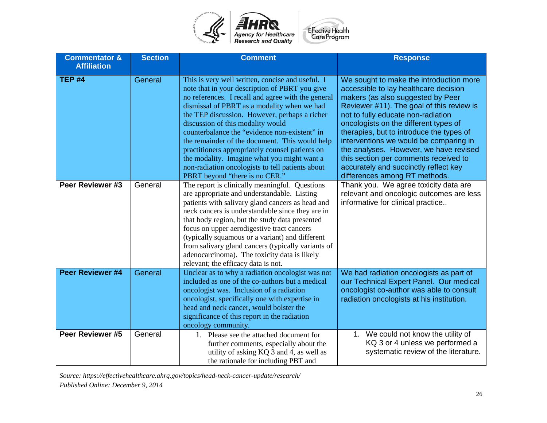

| <b>Commentator &amp;</b><br><b>Affiliation</b> | <b>Section</b> | <b>Comment</b>                                                                                                                                                                                                                                                                                                                                                                                                                                                                                                                                                                           | <b>Response</b>                                                                                                                                                                                                                                                                                                                                                                                                                                                                                      |
|------------------------------------------------|----------------|------------------------------------------------------------------------------------------------------------------------------------------------------------------------------------------------------------------------------------------------------------------------------------------------------------------------------------------------------------------------------------------------------------------------------------------------------------------------------------------------------------------------------------------------------------------------------------------|------------------------------------------------------------------------------------------------------------------------------------------------------------------------------------------------------------------------------------------------------------------------------------------------------------------------------------------------------------------------------------------------------------------------------------------------------------------------------------------------------|
| TEP $#4$                                       | General        | This is very well written, concise and useful. I<br>note that in your description of PBRT you give<br>no references. I recall and agree with the general<br>dismissal of PBRT as a modality when we had<br>the TEP discussion. However, perhaps a richer<br>discussion of this modality would<br>counterbalance the "evidence non-existent" in<br>the remainder of the document. This would help<br>practitioners appropriately counsel patients on<br>the modality. Imagine what you might want a<br>non-radiation oncologists to tell patients about<br>PBRT beyond "there is no CER." | We sought to make the introduction more<br>accessible to lay healthcare decision<br>makers (as also suggested by Peer<br>Reviewer #11). The goal of this review is<br>not to fully educate non-radiation<br>oncologists on the different types of<br>therapies, but to introduce the types of<br>interventions we would be comparing in<br>the analyses. However, we have revised<br>this section per comments received to<br>accurately and succinctly reflect key<br>differences among RT methods. |
| Peer Reviewer #3                               | General        | The report is clinically meaningful. Questions<br>are appropriate and understandable. Listing<br>patients with salivary gland cancers as head and<br>neck cancers is understandable since they are in<br>that body region, but the study data presented<br>focus on upper aerodigestive tract cancers<br>(typically squamous or a variant) and different<br>from salivary gland cancers (typically variants of<br>adenocarcinoma). The toxicity data is likely<br>relevant; the efficacy data is not.                                                                                    | Thank you. We agree toxicity data are<br>relevant and oncologic outcomes are less<br>informative for clinical practice                                                                                                                                                                                                                                                                                                                                                                               |
| <b>Peer Reviewer #4</b>                        | General        | Unclear as to why a radiation oncologist was not<br>included as one of the co-authors but a medical<br>oncologist was. Inclusion of a radiation<br>oncologist, specifically one with expertise in<br>head and neck cancer, would bolster the<br>significance of this report in the radiation<br>oncology community.                                                                                                                                                                                                                                                                      | We had radiation oncologists as part of<br>our Technical Expert Panel. Our medical<br>oncologist co-author was able to consult<br>radiation oncologists at his institution.                                                                                                                                                                                                                                                                                                                          |
| Peer Reviewer #5                               | General        | 1. Please see the attached document for<br>further comments, especially about the<br>utility of asking KQ 3 and 4, as well as<br>the rationale for including PBT and                                                                                                                                                                                                                                                                                                                                                                                                                     | 1. We could not know the utility of<br>KQ 3 or 4 unless we performed a<br>systematic review of the literature.                                                                                                                                                                                                                                                                                                                                                                                       |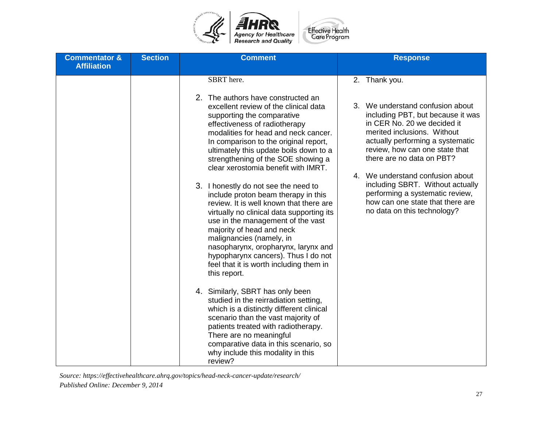

| <b>Commentator &amp;</b><br><b>Affiliation</b> | <b>Section</b> | <b>Comment</b>                                                                                                                                                                                                                                                                                                                                                                                                                                                                                                                                                                                                                                                                                                                                                                                                                                                                                                                                                                                                                                                                                           | <b>Response</b>                                                                                                                                                                                                                                                                                                                                                                                                                       |
|------------------------------------------------|----------------|----------------------------------------------------------------------------------------------------------------------------------------------------------------------------------------------------------------------------------------------------------------------------------------------------------------------------------------------------------------------------------------------------------------------------------------------------------------------------------------------------------------------------------------------------------------------------------------------------------------------------------------------------------------------------------------------------------------------------------------------------------------------------------------------------------------------------------------------------------------------------------------------------------------------------------------------------------------------------------------------------------------------------------------------------------------------------------------------------------|---------------------------------------------------------------------------------------------------------------------------------------------------------------------------------------------------------------------------------------------------------------------------------------------------------------------------------------------------------------------------------------------------------------------------------------|
|                                                |                | SBRT here.<br>2. The authors have constructed an<br>excellent review of the clinical data<br>supporting the comparative<br>effectiveness of radiotherapy<br>modalities for head and neck cancer.<br>In comparison to the original report,<br>ultimately this update boils down to a<br>strengthening of the SOE showing a<br>clear xerostomia benefit with IMRT.<br>3. I honestly do not see the need to<br>include proton beam therapy in this<br>review. It is well known that there are<br>virtually no clinical data supporting its<br>use in the management of the vast<br>majority of head and neck<br>malignancies (namely, in<br>nasopharynx, oropharynx, larynx and<br>hypopharynx cancers). Thus I do not<br>feel that it is worth including them in<br>this report.<br>4. Similarly, SBRT has only been<br>studied in the reirradiation setting,<br>which is a distinctly different clinical<br>scenario than the vast majority of<br>patients treated with radiotherapy.<br>There are no meaningful<br>comparative data in this scenario, so<br>why include this modality in this<br>review? | 2. Thank you.<br>3. We understand confusion about<br>including PBT, but because it was<br>in CER No. 20 we decided it<br>merited inclusions. Without<br>actually performing a systematic<br>review, how can one state that<br>there are no data on PBT?<br>4. We understand confusion about<br>including SBRT. Without actually<br>performing a systematic review,<br>how can one state that there are<br>no data on this technology? |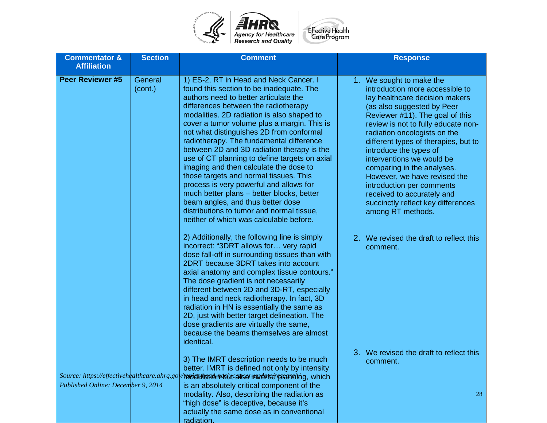

| <b>Commentator &amp;</b><br><b>Affiliation</b>                                     | <b>Section</b>     | <b>Comment</b>                                                                                                                                                                                                                                                                                                                                                                                                                                                                                                                                                                                                                                                                                                                                                   | <b>Response</b>                                                                                                                                                                                                                                                                                                                                                                                                                                                                                                          |
|------------------------------------------------------------------------------------|--------------------|------------------------------------------------------------------------------------------------------------------------------------------------------------------------------------------------------------------------------------------------------------------------------------------------------------------------------------------------------------------------------------------------------------------------------------------------------------------------------------------------------------------------------------------------------------------------------------------------------------------------------------------------------------------------------------------------------------------------------------------------------------------|--------------------------------------------------------------------------------------------------------------------------------------------------------------------------------------------------------------------------------------------------------------------------------------------------------------------------------------------------------------------------------------------------------------------------------------------------------------------------------------------------------------------------|
| <b>Peer Reviewer #5</b>                                                            | General<br>(cont.) | 1) ES-2, RT in Head and Neck Cancer. I<br>found this section to be inadequate. The<br>authors need to better articulate the<br>differences between the radiotherapy<br>modalities. 2D radiation is also shaped to<br>cover a tumor volume plus a margin. This is<br>not what distinguishes 2D from conformal<br>radiotherapy. The fundamental difference<br>between 2D and 3D radiation therapy is the<br>use of CT planning to define targets on axial<br>imaging and then calculate the dose to<br>those targets and normal tissues. This<br>process is very powerful and allows for<br>much better plans - better blocks, better<br>beam angles, and thus better dose<br>distributions to tumor and normal tissue,<br>neither of which was calculable before. | 1. We sought to make the<br>introduction more accessible to<br>lay healthcare decision makers<br>(as also suggested by Peer<br>Reviewer #11). The goal of this<br>review is not to fully educate non-<br>radiation oncologists on the<br>different types of therapies, but to<br>introduce the types of<br>interventions we would be<br>comparing in the analyses.<br>However, we have revised the<br>introduction per comments<br>received to accurately and<br>succinctly reflect key differences<br>among RT methods. |
|                                                                                    |                    | 2) Additionally, the following line is simply<br>incorrect: "3DRT allows for very rapid<br>dose fall-off in surrounding tissues than with<br>2DRT because 3DRT takes into account<br>axial anatomy and complex tissue contours."<br>The dose gradient is not necessarily<br>different between 2D and 3D-RT, especially<br>in head and neck radiotherapy. In fact, 3D<br>radiation in HN is essentially the same as<br>2D, just with better target delineation. The<br>dose gradients are virtually the same,<br>because the beams themselves are almost<br>identical.                                                                                                                                                                                            | 2. We revised the draft to reflect this<br>comment.                                                                                                                                                                                                                                                                                                                                                                                                                                                                      |
| Source: https://effectivehealthcare.ahrq.gol<br>Published Online: December 9, 2014 |                    | 3) The IMRT description needs to be much<br>better. IMRT is defined not only by intensity<br>/modulation wuraiso innerse planning, which<br>is an absolutely critical component of the<br>modality. Also, describing the radiation as<br>"high dose" is deceptive, because it's<br>actually the same dose as in conventional                                                                                                                                                                                                                                                                                                                                                                                                                                     | 3. We revised the draft to reflect this<br>comment.<br>28                                                                                                                                                                                                                                                                                                                                                                                                                                                                |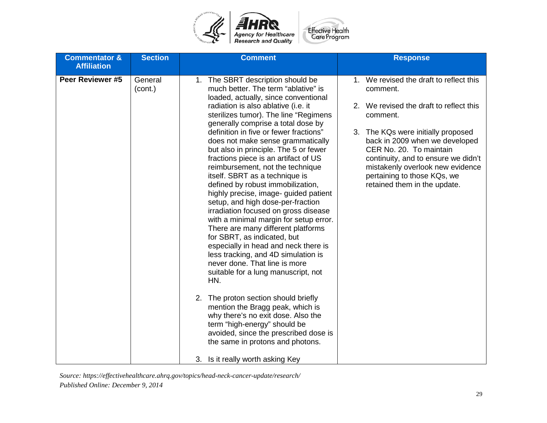

| <b>Commentator &amp;</b><br><b>Affiliation</b> | <b>Section</b>     | <b>Comment</b>                                                                                                                                                                                                                                                                                                                                                                                                                                                                                                                                                                                                                                                                                                                                                                                                                                                                                                                                                                                                                                                                                                                                                                          | <b>Response</b>                                                                                                                                                                                                                                                                                                                                         |
|------------------------------------------------|--------------------|-----------------------------------------------------------------------------------------------------------------------------------------------------------------------------------------------------------------------------------------------------------------------------------------------------------------------------------------------------------------------------------------------------------------------------------------------------------------------------------------------------------------------------------------------------------------------------------------------------------------------------------------------------------------------------------------------------------------------------------------------------------------------------------------------------------------------------------------------------------------------------------------------------------------------------------------------------------------------------------------------------------------------------------------------------------------------------------------------------------------------------------------------------------------------------------------|---------------------------------------------------------------------------------------------------------------------------------------------------------------------------------------------------------------------------------------------------------------------------------------------------------------------------------------------------------|
| Peer Reviewer #5                               | General<br>(cont.) | 1. The SBRT description should be<br>much better. The term "ablative" is<br>loaded, actually, since conventional<br>radiation is also ablative (i.e. it<br>sterilizes tumor). The line "Regimens<br>generally comprise a total dose by<br>definition in five or fewer fractions"<br>does not make sense grammatically<br>but also in principle. The 5 or fewer<br>fractions piece is an artifact of US<br>reimbursement, not the technique<br>itself. SBRT as a technique is<br>defined by robust immobilization,<br>highly precise, image- guided patient<br>setup, and high dose-per-fraction<br>irradiation focused on gross disease<br>with a minimal margin for setup error.<br>There are many different platforms<br>for SBRT, as indicated, but<br>especially in head and neck there is<br>less tracking, and 4D simulation is<br>never done. That line is more<br>suitable for a lung manuscript, not<br>HN.<br>2. The proton section should briefly<br>mention the Bragg peak, which is<br>why there's no exit dose. Also the<br>term "high-energy" should be<br>avoided, since the prescribed dose is<br>the same in protons and photons.<br>3. Is it really worth asking Key | 1. We revised the draft to reflect this<br>comment.<br>2. We revised the draft to reflect this<br>comment.<br>3. The KQs were initially proposed<br>back in 2009 when we developed<br>CER No. 20. To maintain<br>continuity, and to ensure we didn't<br>mistakenly overlook new evidence<br>pertaining to those KQs, we<br>retained them in the update. |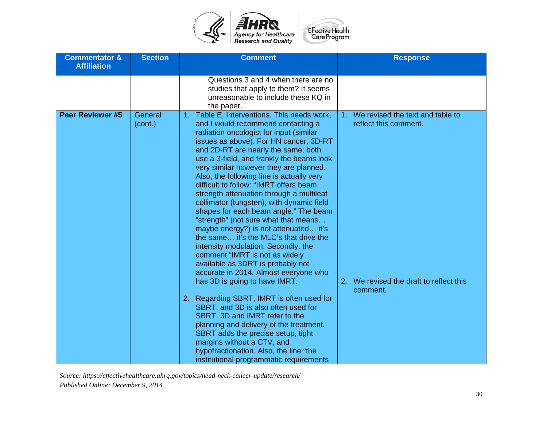

| <b>Commentator &amp;</b><br><b>Affiliation</b> | <b>Section</b>     | <b>Comment</b>                                                                                                                                                                                                                                                                                                                                                                                                                                                                                                                                                                                                                                                                                                                                                                                                                                                                                                                                                                                                                                                                                                                                                             | <b>Response</b>                                                                                                     |
|------------------------------------------------|--------------------|----------------------------------------------------------------------------------------------------------------------------------------------------------------------------------------------------------------------------------------------------------------------------------------------------------------------------------------------------------------------------------------------------------------------------------------------------------------------------------------------------------------------------------------------------------------------------------------------------------------------------------------------------------------------------------------------------------------------------------------------------------------------------------------------------------------------------------------------------------------------------------------------------------------------------------------------------------------------------------------------------------------------------------------------------------------------------------------------------------------------------------------------------------------------------|---------------------------------------------------------------------------------------------------------------------|
|                                                |                    | Questions 3 and 4 when there are no<br>studies that apply to them? It seems<br>unreasonable to include these KQ in<br>the paper.                                                                                                                                                                                                                                                                                                                                                                                                                                                                                                                                                                                                                                                                                                                                                                                                                                                                                                                                                                                                                                           |                                                                                                                     |
| <b>Peer Reviewer #5</b>                        | General<br>(cont.) | 1. Table E, Interventions. This needs work,<br>and I would recommend contacting a<br>radiation oncologist for input (similar<br>issues as above). For HN cancer, 3D-RT<br>and 2D-RT are nearly the same; both<br>use a 3-field, and frankly the beams look<br>very similar however they are planned.<br>Also, the following line is actually very<br>difficult to follow: "IMRT offers beam<br>strength attenuation through a multileaf<br>collimator (tungsten), with dynamic field<br>shapes for each beam angle." The beam<br>"strength" (not sure what that means<br>maybe energy?) is not attenuated it's<br>the same it's the MLC's that drive the<br>intensity modulation. Secondly, the<br>comment "IMRT is not as widely<br>available as 3DRT is probably not<br>accurate in 2014. Almost everyone who<br>has 3D is going to have IMRT.<br>2. Regarding SBRT, IMRT is often used for<br>SBRT, and 3D is also often used for<br>SBRT. 3D and IMRT refer to the<br>planning and delivery of the treatment.<br>SBRT adds the precise setup, tight<br>margins without a CTV, and<br>hypofractionation. Also, the line "the<br>institutional programmatic requirements | 1. We revised the text and table to<br>reflect this comment.<br>2. We revised the draft to reflect this<br>comment. |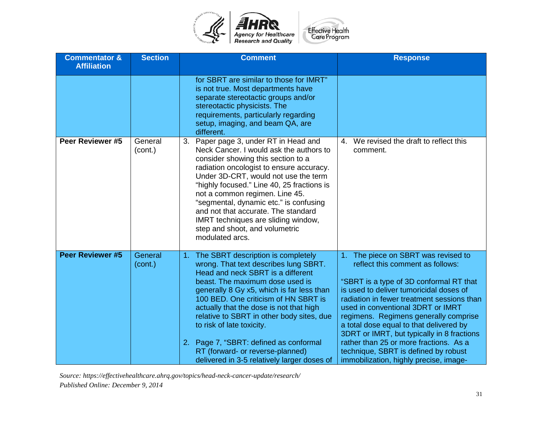

| <b>Commentator &amp;</b><br><b>Affiliation</b> | <b>Section</b>     | <b>Comment</b>                                                                                                                                                                                                                                                                                                                                                                                                                                                                                   | <b>Response</b>                                                                                                                                                                                                                                                                                                                                                                                                                                                                                             |
|------------------------------------------------|--------------------|--------------------------------------------------------------------------------------------------------------------------------------------------------------------------------------------------------------------------------------------------------------------------------------------------------------------------------------------------------------------------------------------------------------------------------------------------------------------------------------------------|-------------------------------------------------------------------------------------------------------------------------------------------------------------------------------------------------------------------------------------------------------------------------------------------------------------------------------------------------------------------------------------------------------------------------------------------------------------------------------------------------------------|
|                                                |                    | for SBRT are similar to those for IMRT"<br>is not true. Most departments have<br>separate stereotactic groups and/or<br>stereotactic physicists. The<br>requirements, particularly regarding<br>setup, imaging, and beam QA, are<br>different.                                                                                                                                                                                                                                                   |                                                                                                                                                                                                                                                                                                                                                                                                                                                                                                             |
| Peer Reviewer #5                               | General<br>(cont.) | Paper page 3, under RT in Head and<br>3.<br>Neck Cancer. I would ask the authors to<br>consider showing this section to a<br>radiation oncologist to ensure accuracy.<br>Under 3D-CRT, would not use the term<br>"highly focused." Line 40, 25 fractions is<br>not a common regimen. Line 45.<br>"segmental, dynamic etc." is confusing<br>and not that accurate. The standard<br>IMRT techniques are sliding window,<br>step and shoot, and volumetric<br>modulated arcs.                       | We revised the draft to reflect this<br>4.<br>comment.                                                                                                                                                                                                                                                                                                                                                                                                                                                      |
| <b>Peer Reviewer #5</b>                        | General<br>(cont.) | The SBRT description is completely<br>1.<br>wrong. That text describes lung SBRT.<br>Head and neck SBRT is a different<br>beast. The maximum dose used is<br>generally 8 Gy x5, which is far less than<br>100 BED. One criticism of HN SBRT is<br>actually that the dose is not that high<br>relative to SBRT in other body sites, due<br>to risk of late toxicity.<br>2. Page 7, "SBRT: defined as conformal<br>RT (forward- or reverse-planned)<br>delivered in 3-5 relatively larger doses of | The piece on SBRT was revised to<br>reflect this comment as follows:<br>"SBRT is a type of 3D conformal RT that<br>is used to deliver tumoricidal doses of<br>radiation in fewer treatment sessions than<br>used in conventional 3DRT or IMRT<br>regimens. Regimens generally comprise<br>a total dose equal to that delivered by<br>3DRT or IMRT, but typically in 8 fractions<br>rather than 25 or more fractions. As a<br>technique, SBRT is defined by robust<br>immobilization, highly precise, image- |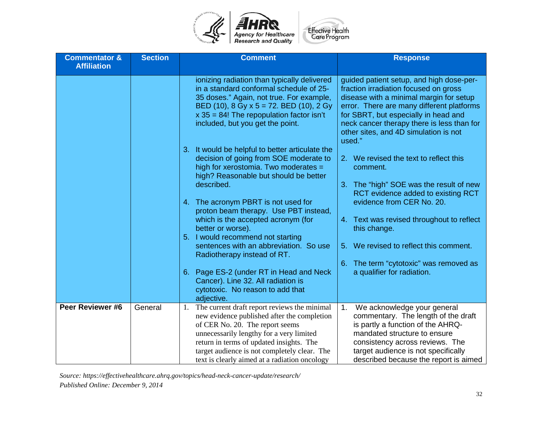

| <b>Commentator &amp;</b><br><b>Affiliation</b> | <b>Section</b> | <b>Comment</b>                                                                                                                                                                                                                                                                                                             | <b>Response</b>                                                                                                                                                                                                                                                                                                    |
|------------------------------------------------|----------------|----------------------------------------------------------------------------------------------------------------------------------------------------------------------------------------------------------------------------------------------------------------------------------------------------------------------------|--------------------------------------------------------------------------------------------------------------------------------------------------------------------------------------------------------------------------------------------------------------------------------------------------------------------|
|                                                |                |                                                                                                                                                                                                                                                                                                                            |                                                                                                                                                                                                                                                                                                                    |
|                                                |                | ionizing radiation than typically delivered<br>in a standard conformal schedule of 25-<br>35 doses." Again, not true. For example,<br>BED (10), 8 Gy x $5 = 72$ . BED (10), 2 Gy<br>$x$ 35 = 84! The repopulation factor isn't<br>included, but you get the point.                                                         | guided patient setup, and high dose-per-<br>fraction irradiation focused on gross<br>disease with a minimal margin for setup<br>error. There are many different platforms<br>for SBRT, but especially in head and<br>neck cancer therapy there is less than for<br>other sites, and 4D simulation is not<br>used." |
|                                                |                | It would be helpful to better articulate the<br>$3 -$<br>decision of going from SOE moderate to<br>high for xerostomia. Two moderates =<br>high? Reasonable but should be better                                                                                                                                           | 2. We revised the text to reflect this<br>comment.                                                                                                                                                                                                                                                                 |
|                                                |                | described.                                                                                                                                                                                                                                                                                                                 | 3. The "high" SOE was the result of new<br>RCT evidence added to existing RCT                                                                                                                                                                                                                                      |
|                                                |                | 4. The acronym PBRT is not used for<br>proton beam therapy. Use PBT instead,<br>which is the accepted acronym (for                                                                                                                                                                                                         | evidence from CER No. 20.<br>4. Text was revised throughout to reflect                                                                                                                                                                                                                                             |
|                                                |                | better or worse).<br>5. I would recommend not starting                                                                                                                                                                                                                                                                     | this change.                                                                                                                                                                                                                                                                                                       |
|                                                |                | sentences with an abbreviation. So use<br>Radiotherapy instead of RT.                                                                                                                                                                                                                                                      | 5. We revised to reflect this comment.                                                                                                                                                                                                                                                                             |
|                                                |                | 6. Page ES-2 (under RT in Head and Neck<br>Cancer). Line 32. All radiation is<br>cytotoxic. No reason to add that<br>adjective.                                                                                                                                                                                            | 6. The term "cytotoxic" was removed as<br>a qualifier for radiation.                                                                                                                                                                                                                                               |
| Peer Reviewer #6                               | General        | 1. The current draft report reviews the minimal<br>new evidence published after the completion<br>of CER No. 20. The report seems<br>unnecessarily lengthy for a very limited<br>return in terms of updated insights. The<br>target audience is not completely clear. The<br>text is clearly aimed at a radiation oncology | We acknowledge your general<br>$\mathbf{1}$ .<br>commentary. The length of the draft<br>is partly a function of the AHRQ-<br>mandated structure to ensure<br>consistency across reviews. The<br>target audience is not specifically<br>described because the report is aimed                                       |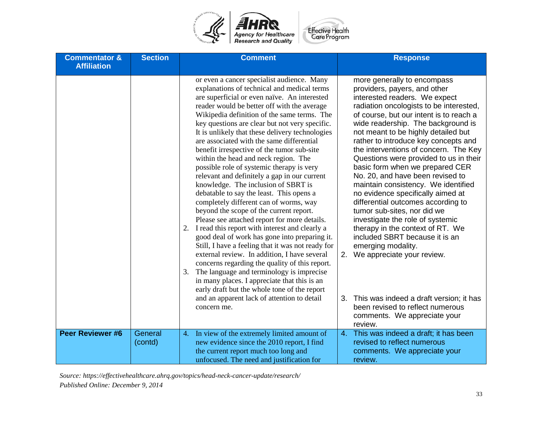

| <b>Commentator &amp;</b> | <b>Section</b>     | <b>Comment</b>                                                                                                                                                                                                                                                                                                                                                                                                                                                                                                                                                                                                                                                                                                                                                                                                                                               | <b>Response</b>                                                                                                                                                                                                                                                                                                                                                                                                                                                                                                                                                                                                                                                                            |
|--------------------------|--------------------|--------------------------------------------------------------------------------------------------------------------------------------------------------------------------------------------------------------------------------------------------------------------------------------------------------------------------------------------------------------------------------------------------------------------------------------------------------------------------------------------------------------------------------------------------------------------------------------------------------------------------------------------------------------------------------------------------------------------------------------------------------------------------------------------------------------------------------------------------------------|--------------------------------------------------------------------------------------------------------------------------------------------------------------------------------------------------------------------------------------------------------------------------------------------------------------------------------------------------------------------------------------------------------------------------------------------------------------------------------------------------------------------------------------------------------------------------------------------------------------------------------------------------------------------------------------------|
| <b>Affiliation</b>       |                    | or even a cancer specialist audience. Many<br>explanations of technical and medical terms<br>are superficial or even naïve. An interested<br>reader would be better off with the average<br>Wikipedia definition of the same terms. The<br>key questions are clear but not very specific.<br>It is unlikely that these delivery technologies<br>are associated with the same differential<br>benefit irrespective of the tumor sub-site<br>within the head and neck region. The<br>possible role of systemic therapy is very<br>relevant and definitely a gap in our current<br>knowledge. The inclusion of SBRT is<br>debatable to say the least. This opens a<br>completely different can of worms, way<br>beyond the scope of the current report.<br>Please see attached report for more details.<br>I read this report with interest and clearly a<br>2. | more generally to encompass<br>providers, payers, and other<br>interested readers. We expect<br>radiation oncologists to be interested,<br>of course, but our intent is to reach a<br>wide readership. The background is<br>not meant to be highly detailed but<br>rather to introduce key concepts and<br>the interventions of concern. The Key<br>Questions were provided to us in their<br>basic form when we prepared CER<br>No. 20, and have been revised to<br>maintain consistency. We identified<br>no evidence specifically aimed at<br>differential outcomes according to<br>tumor sub-sites, nor did we<br>investigate the role of systemic<br>therapy in the context of RT. We |
|                          |                    | good deal of work has gone into preparing it.<br>Still, I have a feeling that it was not ready for<br>external review. In addition, I have several<br>concerns regarding the quality of this report.<br>The language and terminology is imprecise<br>3.<br>in many places. I appreciate that this is an<br>early draft but the whole tone of the report                                                                                                                                                                                                                                                                                                                                                                                                                                                                                                      | included SBRT because it is an<br>emerging modality.<br>We appreciate your review.<br>2.                                                                                                                                                                                                                                                                                                                                                                                                                                                                                                                                                                                                   |
|                          |                    | and an apparent lack of attention to detail<br>concern me.                                                                                                                                                                                                                                                                                                                                                                                                                                                                                                                                                                                                                                                                                                                                                                                                   | This was indeed a draft version; it has<br>3.<br>been revised to reflect numerous<br>comments. We appreciate your<br>review.                                                                                                                                                                                                                                                                                                                                                                                                                                                                                                                                                               |
| <b>Peer Reviewer #6</b>  | General<br>(contd) | In view of the extremely limited amount of<br>4.<br>new evidence since the 2010 report, I find<br>the current report much too long and<br>unfocused. The need and justification for                                                                                                                                                                                                                                                                                                                                                                                                                                                                                                                                                                                                                                                                          | This was indeed a draft; it has been<br>4.<br>revised to reflect numerous<br>comments. We appreciate your<br>review.                                                                                                                                                                                                                                                                                                                                                                                                                                                                                                                                                                       |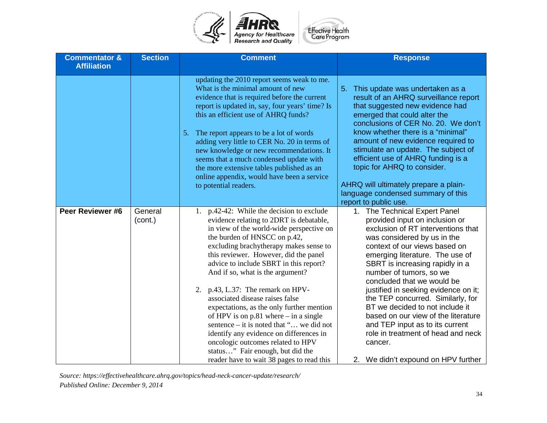

| <b>Commentator &amp;</b><br><b>Affiliation</b> | <b>Section</b>     | <b>Comment</b>                                                                                                                                                                                                                                                                                                                                                                                                                                                                                                                                                                                                                                                                                                      | <b>Response</b>                                                                                                                                                                                                                                                                                                                                                                                                                                                                                                                                                                        |
|------------------------------------------------|--------------------|---------------------------------------------------------------------------------------------------------------------------------------------------------------------------------------------------------------------------------------------------------------------------------------------------------------------------------------------------------------------------------------------------------------------------------------------------------------------------------------------------------------------------------------------------------------------------------------------------------------------------------------------------------------------------------------------------------------------|----------------------------------------------------------------------------------------------------------------------------------------------------------------------------------------------------------------------------------------------------------------------------------------------------------------------------------------------------------------------------------------------------------------------------------------------------------------------------------------------------------------------------------------------------------------------------------------|
|                                                |                    | updating the 2010 report seems weak to me.<br>What is the minimal amount of new<br>evidence that is required before the current<br>report is updated in, say, four years' time? Is<br>this an efficient use of AHRQ funds?<br>The report appears to be a lot of words<br>5.<br>adding very little to CER No. 20 in terms of<br>new knowledge or new recommendations. It<br>seems that a much condensed update with<br>the more extensive tables published as an<br>online appendix, would have been a service<br>to potential readers.                                                                                                                                                                              | This update was undertaken as a<br>5 <sub>1</sub><br>result of an AHRQ surveillance report<br>that suggested new evidence had<br>emerged that could alter the<br>conclusions of CER No. 20. We don't<br>know whether there is a "minimal"<br>amount of new evidence required to<br>stimulate an update. The subject of<br>efficient use of AHRQ funding is a<br>topic for AHRQ to consider.<br>AHRQ will ultimately prepare a plain-<br>language condensed summary of this<br>report to public use.                                                                                    |
| Peer Reviewer #6                               | General<br>(cont.) | 1. p.42-42: While the decision to exclude<br>evidence relating to 2DRT is debatable,<br>in view of the world-wide perspective on<br>the burden of HNSCC on p.42,<br>excluding brachytherapy makes sense to<br>this reviewer. However, did the panel<br>advice to include SBRT in this report?<br>And if so, what is the argument?<br>p.43, L.37: The remark on HPV-<br>2.<br>associated disease raises false<br>expectations, as the only further mention<br>of HPV is on $p.81$ where $-$ in a single<br>sentence – it is noted that " we did not<br>identify any evidence on differences in<br>oncologic outcomes related to HPV<br>status" Fair enough, but did the<br>reader have to wait 38 pages to read this | 1. The Technical Expert Panel<br>provided input on inclusion or<br>exclusion of RT interventions that<br>was considered by us in the<br>context of our views based on<br>emerging literature. The use of<br>SBRT is increasing rapidly in a<br>number of tumors, so we<br>concluded that we would be<br>justified in seeking evidence on it;<br>the TEP concurred. Similarly, for<br>BT we decided to not include it<br>based on our view of the literature<br>and TEP input as to its current<br>role in treatment of head and neck<br>cancer.<br>2. We didn't expound on HPV further |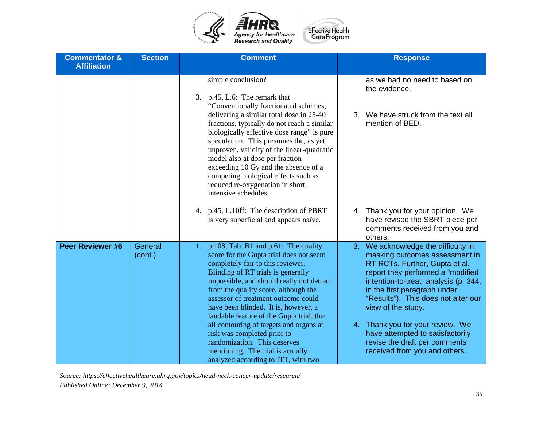

| <b>Commentator &amp;</b><br><b>Affiliation</b> | <b>Section</b>     | <b>Comment</b>                                                                                                                                                                                                                                                                                                                                                                                               | <b>Response</b>                                                                                                                                                                                                                                                                       |
|------------------------------------------------|--------------------|--------------------------------------------------------------------------------------------------------------------------------------------------------------------------------------------------------------------------------------------------------------------------------------------------------------------------------------------------------------------------------------------------------------|---------------------------------------------------------------------------------------------------------------------------------------------------------------------------------------------------------------------------------------------------------------------------------------|
|                                                |                    | simple conclusion?<br>3. p.45, L.6: The remark that<br>"Conventionally fractionated schemes,                                                                                                                                                                                                                                                                                                                 | as we had no need to based on<br>the evidence.                                                                                                                                                                                                                                        |
|                                                |                    | delivering a similar total dose in 25-40<br>fractions, typically do not reach a similar<br>biologically effective dose range" is pure<br>speculation. This presumes the, as yet<br>unproven, validity of the linear-quadratic<br>model also at dose per fraction<br>exceeding 10 Gy and the absence of a<br>competing biological effects such as<br>reduced re-oxygenation in short,<br>intensive schedules. | 3. We have struck from the text all<br>mention of BED.                                                                                                                                                                                                                                |
|                                                |                    | 4. p.45, L.10ff: The description of PBRT<br>is very superficial and appears naïve.                                                                                                                                                                                                                                                                                                                           | 4. Thank you for your opinion. We<br>have revised the SBRT piece per<br>comments received from you and<br>others.                                                                                                                                                                     |
| <b>Peer Reviewer #6</b>                        | General<br>(cont.) | p.108, Tab. B1 and p.61: The quality<br>1.<br>score for the Gupta trial does not seem<br>completely fair to this reviewer.<br>Blinding of RT trials is generally<br>impossible, and should really not detract<br>from the quality score, although the<br>assessor of treatment outcome could<br>have been blinded. It is, however, a<br>laudable feature of the Gupta trial, that                            | We acknowledge the difficulty in<br>3.<br>masking outcomes assessment in<br>RT RCTs. Further, Gupta et al.<br>report they performed a "modified<br>intention-to-treat" analysis (p. 344,<br>in the first paragraph under<br>"Results"). This does not alter our<br>view of the study. |
|                                                |                    | all contouring of targets and organs at<br>risk was completed prior to<br>randomization. This deserves<br>mentioning. The trial is actually<br>analyzed according to ITT, with two                                                                                                                                                                                                                           | 4. Thank you for your review. We<br>have attempted to satisfactorily<br>revise the draft per comments<br>received from you and others.                                                                                                                                                |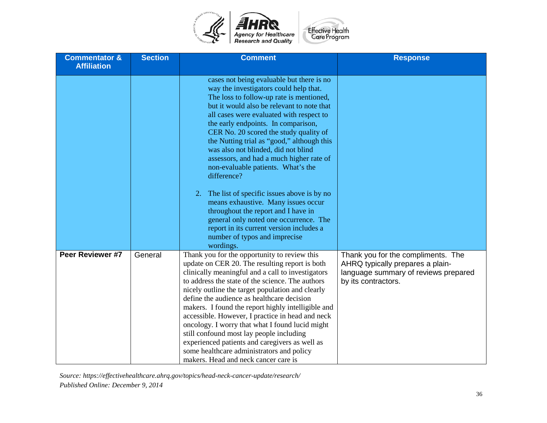

| <b>Commentator &amp;</b><br><b>Affiliation</b> | <b>Section</b> | <b>Comment</b>                                                                                                                                                                                                                                                                                                                                                                                                                                                                                                                                                                                                                                                                                                                                                      | <b>Response</b>                                                                                                                       |
|------------------------------------------------|----------------|---------------------------------------------------------------------------------------------------------------------------------------------------------------------------------------------------------------------------------------------------------------------------------------------------------------------------------------------------------------------------------------------------------------------------------------------------------------------------------------------------------------------------------------------------------------------------------------------------------------------------------------------------------------------------------------------------------------------------------------------------------------------|---------------------------------------------------------------------------------------------------------------------------------------|
|                                                |                | cases not being evaluable but there is no<br>way the investigators could help that.<br>The loss to follow-up rate is mentioned,<br>but it would also be relevant to note that<br>all cases were evaluated with respect to<br>the early endpoints. In comparison,<br>CER No. 20 scored the study quality of<br>the Nutting trial as "good," although this<br>was also not blinded, did not blind<br>assessors, and had a much higher rate of<br>non-evaluable patients. What's the<br>difference?<br>2. The list of specific issues above is by no<br>means exhaustive. Many issues occur<br>throughout the report and I have in<br>general only noted one occurrence. The<br>report in its current version includes a<br>number of typos and imprecise<br>wordings. |                                                                                                                                       |
| Peer Reviewer #7                               | General        | Thank you for the opportunity to review this<br>update on CER 20. The resulting report is both<br>clinically meaningful and a call to investigators<br>to address the state of the science. The authors<br>nicely outline the target population and clearly<br>define the audience as healthcare decision<br>makers. I found the report highly intelligible and<br>accessible. However, I practice in head and neck<br>oncology. I worry that what I found lucid might<br>still confound most lay people including<br>experienced patients and caregivers as well as<br>some healthcare administrators and policy<br>makers. Head and neck cancer care is                                                                                                           | Thank you for the compliments. The<br>AHRQ typically prepares a plain-<br>language summary of reviews prepared<br>by its contractors. |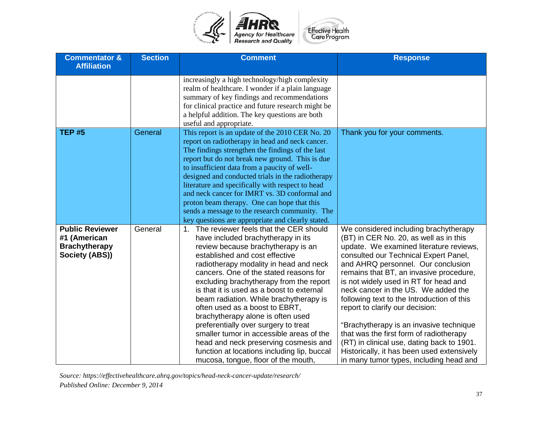

| <b>Commentator &amp;</b><br><b>Affiliation</b>                                   | <b>Section</b> | <b>Comment</b>                                                                                                                                                                                                                                                                                                                                                                                                                                                                                                                                                                                                                                                             | <b>Response</b>                                                                                                                                                                                                                                                                                                                                                                                                                                                                                                                                                                                                                                    |
|----------------------------------------------------------------------------------|----------------|----------------------------------------------------------------------------------------------------------------------------------------------------------------------------------------------------------------------------------------------------------------------------------------------------------------------------------------------------------------------------------------------------------------------------------------------------------------------------------------------------------------------------------------------------------------------------------------------------------------------------------------------------------------------------|----------------------------------------------------------------------------------------------------------------------------------------------------------------------------------------------------------------------------------------------------------------------------------------------------------------------------------------------------------------------------------------------------------------------------------------------------------------------------------------------------------------------------------------------------------------------------------------------------------------------------------------------------|
|                                                                                  |                | increasingly a high technology/high complexity<br>realm of healthcare. I wonder if a plain language<br>summary of key findings and recommendations<br>for clinical practice and future research might be<br>a helpful addition. The key questions are both<br>useful and appropriate.                                                                                                                                                                                                                                                                                                                                                                                      |                                                                                                                                                                                                                                                                                                                                                                                                                                                                                                                                                                                                                                                    |
| <b>TEP #5</b>                                                                    | General        | This report is an update of the 2010 CER No. 20<br>report on radiotherapy in head and neck cancer.<br>The findings strengthen the findings of the last<br>report but do not break new ground. This is due<br>to insufficient data from a paucity of well-<br>designed and conducted trials in the radiotherapy<br>literature and specifically with respect to head<br>and neck cancer for IMRT vs. 3D conformal and<br>proton beam therapy. One can hope that this<br>sends a message to the research community. The<br>key questions are appropriate and clearly stated.                                                                                                  | Thank you for your comments.                                                                                                                                                                                                                                                                                                                                                                                                                                                                                                                                                                                                                       |
| <b>Public Reviewer</b><br>#1 (American<br><b>Brachytherapy</b><br>Society (ABS)) | General        | The reviewer feels that the CER should<br>1.<br>have included brachytherapy in its<br>review because brachytherapy is an<br>established and cost effective<br>radiotherapy modality in head and neck<br>cancers. One of the stated reasons for<br>excluding brachytherapy from the report<br>is that it is used as a boost to external<br>beam radiation. While brachytherapy is<br>often used as a boost to EBRT,<br>brachytherapy alone is often used<br>preferentially over surgery to treat<br>smaller tumor in accessible areas of the<br>head and neck preserving cosmesis and<br>function at locations including lip, buccal<br>mucosa, tongue, floor of the mouth, | We considered including brachytherapy<br>(BT) in CER No. 20, as well as in this<br>update. We examined literature reviews,<br>consulted our Technical Expert Panel,<br>and AHRQ personnel. Our conclusion<br>remains that BT, an invasive procedure,<br>is not widely used in RT for head and<br>neck cancer in the US. We added the<br>following text to the Introduction of this<br>report to clarify our decision:<br>"Brachytherapy is an invasive technique<br>that was the first form of radiotherapy<br>(RT) in clinical use, dating back to 1901.<br>Historically, it has been used extensively<br>in many tumor types, including head and |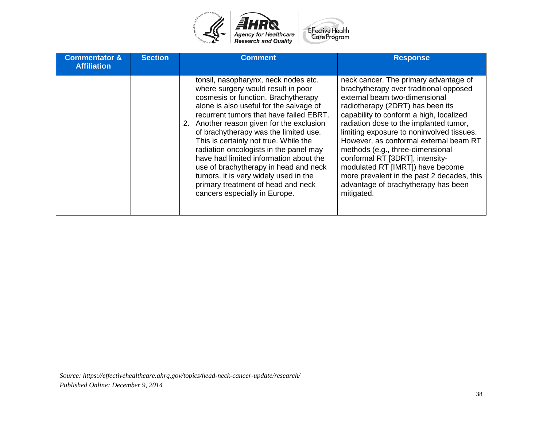

| <b>Commentator &amp;</b><br><b>Affiliation</b> | <b>Section</b> | <b>Comment</b>                                                                                                                                                                                                                                                                                                                                                                                                                                                                                                                                                                      | <b>Response</b>                                                                                                                                                                                                                                                                                                                                                                                                                                                                                                                                |
|------------------------------------------------|----------------|-------------------------------------------------------------------------------------------------------------------------------------------------------------------------------------------------------------------------------------------------------------------------------------------------------------------------------------------------------------------------------------------------------------------------------------------------------------------------------------------------------------------------------------------------------------------------------------|------------------------------------------------------------------------------------------------------------------------------------------------------------------------------------------------------------------------------------------------------------------------------------------------------------------------------------------------------------------------------------------------------------------------------------------------------------------------------------------------------------------------------------------------|
|                                                |                | tonsil, nasopharynx, neck nodes etc.<br>where surgery would result in poor<br>cosmesis or function. Brachytherapy<br>alone is also useful for the salvage of<br>recurrent tumors that have failed EBRT.<br>2. Another reason given for the exclusion<br>of brachytherapy was the limited use.<br>This is certainly not true. While the<br>radiation oncologists in the panel may<br>have had limited information about the<br>use of brachytherapy in head and neck<br>tumors, it is very widely used in the<br>primary treatment of head and neck<br>cancers especially in Europe. | neck cancer. The primary advantage of<br>brachytherapy over traditional opposed<br>external beam two-dimensional<br>radiotherapy (2DRT) has been its<br>capability to conform a high, localized<br>radiation dose to the implanted tumor,<br>limiting exposure to noninvolved tissues.<br>However, as conformal external beam RT<br>methods (e.g., three-dimensional<br>conformal RT [3DRT], intensity-<br>modulated RT [IMRT]) have become<br>more prevalent in the past 2 decades, this<br>advantage of brachytherapy has been<br>mitigated. |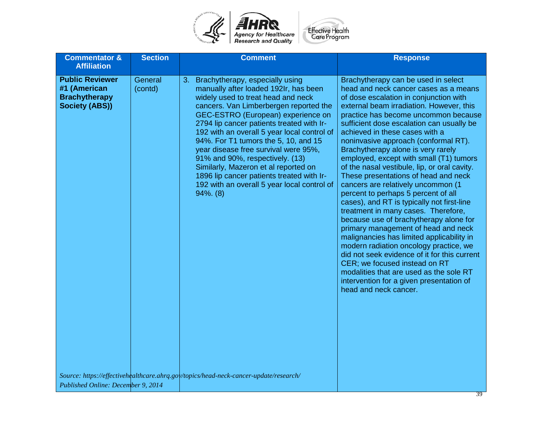

| <b>Commentator &amp;</b><br><b>Affiliation</b>                                          | <b>Section</b>     | <b>Comment</b>                                                                                                                                                                                                                                                                                                                                                                                                                                                                                                                                                                                                                                                  | <b>Response</b>                                                                                                                                                                                                                                                                                                                                                                                                                                                                                                                                                                                                                                                                                                                                                                                                                                                                                                                                                                                                                                       |
|-----------------------------------------------------------------------------------------|--------------------|-----------------------------------------------------------------------------------------------------------------------------------------------------------------------------------------------------------------------------------------------------------------------------------------------------------------------------------------------------------------------------------------------------------------------------------------------------------------------------------------------------------------------------------------------------------------------------------------------------------------------------------------------------------------|-------------------------------------------------------------------------------------------------------------------------------------------------------------------------------------------------------------------------------------------------------------------------------------------------------------------------------------------------------------------------------------------------------------------------------------------------------------------------------------------------------------------------------------------------------------------------------------------------------------------------------------------------------------------------------------------------------------------------------------------------------------------------------------------------------------------------------------------------------------------------------------------------------------------------------------------------------------------------------------------------------------------------------------------------------|
| <b>Public Reviewer</b><br>#1 (American<br><b>Brachytherapy</b><br><b>Society (ABS))</b> | General<br>(contd) | 3. Brachytherapy, especially using<br>manually after loaded 192Ir, has been<br>widely used to treat head and neck<br>cancers. Van Limberbergen reported the<br>GEC-ESTRO (European) experience on<br>2794 lip cancer patients treated with Ir-<br>192 with an overall 5 year local control of<br>94%. For T1 tumors the 5, 10, and 15<br>year disease free survival were 95%,<br>91% and 90%, respectively. (13)<br>Similarly, Mazeron et al reported on<br>1896 lip cancer patients treated with Ir-<br>192 with an overall 5 year local control of<br>$94\%$ . $(8)$<br>Source: https://effectivehealthcare.ahrq.gov/topics/head-neck-cancer-update/research/ | Brachytherapy can be used in select<br>head and neck cancer cases as a means<br>of dose escalation in conjunction with<br>external beam irradiation. However, this<br>practice has become uncommon because<br>sufficient dose escalation can usually be<br>achieved in these cases with a<br>noninvasive approach (conformal RT).<br>Brachytherapy alone is very rarely<br>employed, except with small (T1) tumors<br>of the nasal vestibule, lip, or oral cavity.<br>These presentations of head and neck<br>cancers are relatively uncommon (1<br>percent to perhaps 5 percent of all<br>cases), and RT is typically not first-line<br>treatment in many cases. Therefore,<br>because use of brachytherapy alone for<br>primary management of head and neck<br>malignancies has limited applicability in<br>modern radiation oncology practice, we<br>did not seek evidence of it for this current<br>CER; we focused instead on RT<br>modalities that are used as the sole RT<br>intervention for a given presentation of<br>head and neck cancer. |
| Published Online: December 9, 2014                                                      |                    |                                                                                                                                                                                                                                                                                                                                                                                                                                                                                                                                                                                                                                                                 |                                                                                                                                                                                                                                                                                                                                                                                                                                                                                                                                                                                                                                                                                                                                                                                                                                                                                                                                                                                                                                                       |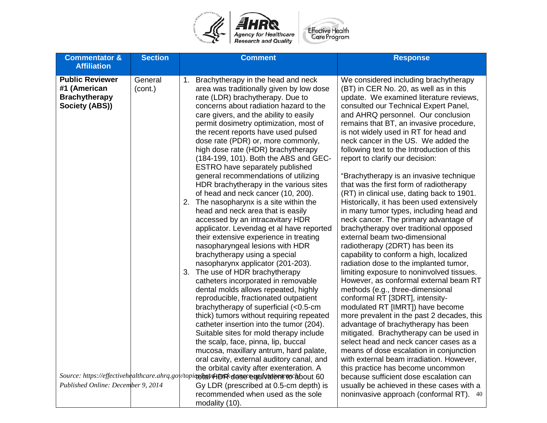

| <b>Commentator &amp;</b>                                                                               | <b>Section</b>     | <b>Comment</b>                                                                                                                                                                                                                                                                                                                                                                                                                                                                                                                                                                                                                                                                                                                                                                                                                                                                                                                                                                                                     | <b>Response</b>                                                                                                                                                                                                                                                                                                                                                                                                                                                                                                                                                                                                                                                                                                                                                                                                                                                                                                                                                                                                            |
|--------------------------------------------------------------------------------------------------------|--------------------|--------------------------------------------------------------------------------------------------------------------------------------------------------------------------------------------------------------------------------------------------------------------------------------------------------------------------------------------------------------------------------------------------------------------------------------------------------------------------------------------------------------------------------------------------------------------------------------------------------------------------------------------------------------------------------------------------------------------------------------------------------------------------------------------------------------------------------------------------------------------------------------------------------------------------------------------------------------------------------------------------------------------|----------------------------------------------------------------------------------------------------------------------------------------------------------------------------------------------------------------------------------------------------------------------------------------------------------------------------------------------------------------------------------------------------------------------------------------------------------------------------------------------------------------------------------------------------------------------------------------------------------------------------------------------------------------------------------------------------------------------------------------------------------------------------------------------------------------------------------------------------------------------------------------------------------------------------------------------------------------------------------------------------------------------------|
| <b>Affiliation</b><br><b>Public Reviewer</b><br>#1 (American<br><b>Brachytherapy</b><br>Society (ABS)) | General<br>(cont.) | Brachytherapy in the head and neck<br>1.<br>area was traditionally given by low dose<br>rate (LDR) brachytherapy. Due to<br>concerns about radiation hazard to the<br>care givers, and the ability to easily<br>permit dosimetry optimization, most of<br>the recent reports have used pulsed<br>dose rate (PDR) or, more commonly,<br>high dose rate (HDR) brachytherapy<br>(184-199, 101). Both the ABS and GEC-<br>ESTRO have separately published<br>general recommendations of utilizing<br>HDR brachytherapy in the various sites<br>of head and neck cancer (10, 200).<br>2. The nasopharynx is a site within the<br>head and neck area that is easily<br>accessed by an intracavitary HDR<br>applicator. Levendag et al have reported<br>their extensive experience in treating<br>nasopharyngeal lesions with HDR<br>brachytherapy using a special<br>nasopharynx applicator (201-203).<br>3. The use of HDR brachytherapy<br>catheters incorporated in removable<br>dental molds allows repeated, highly | We considered including brachytherapy<br>(BT) in CER No. 20, as well as in this<br>update. We examined literature reviews,<br>consulted our Technical Expert Panel,<br>and AHRQ personnel. Our conclusion<br>remains that BT, an invasive procedure,<br>is not widely used in RT for head and<br>neck cancer in the US. We added the<br>following text to the Introduction of this<br>report to clarify our decision:<br>"Brachytherapy is an invasive technique<br>that was the first form of radiotherapy<br>(RT) in clinical use, dating back to 1901.<br>Historically, it has been used extensively<br>in many tumor types, including head and<br>neck cancer. The primary advantage of<br>brachytherapy over traditional opposed<br>external beam two-dimensional<br>radiotherapy (2DRT) has been its<br>capability to conform a high, localized<br>radiation dose to the implanted tumor,<br>limiting exposure to noninvolved tissues.<br>However, as conformal external beam RT<br>methods (e.g., three-dimensional |
|                                                                                                        |                    | reproducible, fractionated outpatient<br>brachytherapy of superficial (<0.5-cm<br>thick) tumors without requiring repeated<br>catheter insertion into the tumor (204).<br>Suitable sites for mold therapy include                                                                                                                                                                                                                                                                                                                                                                                                                                                                                                                                                                                                                                                                                                                                                                                                  | conformal RT [3DRT], intensity-<br>modulated RT [IMRT]) have become<br>more prevalent in the past 2 decades, this<br>advantage of brachytherapy has been<br>mitigated. Brachytherapy can be used in                                                                                                                                                                                                                                                                                                                                                                                                                                                                                                                                                                                                                                                                                                                                                                                                                        |
| Published Online: December 9, 2014                                                                     |                    | the scalp, face, pinna, lip, buccal<br>mucosa, maxillary antrum, hard palate,<br>oral cavity, external auditory canal, and<br>the orbital cavity after exenteration. A<br>Source: https://effectivehealthcare.ahrq.gov/topiq&tequ4DRkdosecequivalentwcabout 60<br>Gy LDR (prescribed at 0.5-cm depth) is<br>recommended when used as the sole<br>modality (10).                                                                                                                                                                                                                                                                                                                                                                                                                                                                                                                                                                                                                                                    | select head and neck cancer cases as a<br>means of dose escalation in conjunction<br>with external beam irradiation. However,<br>this practice has become uncommon<br>because sufficient dose escalation can<br>usually be achieved in these cases with a<br>noninvasive approach (conformal RT). 40                                                                                                                                                                                                                                                                                                                                                                                                                                                                                                                                                                                                                                                                                                                       |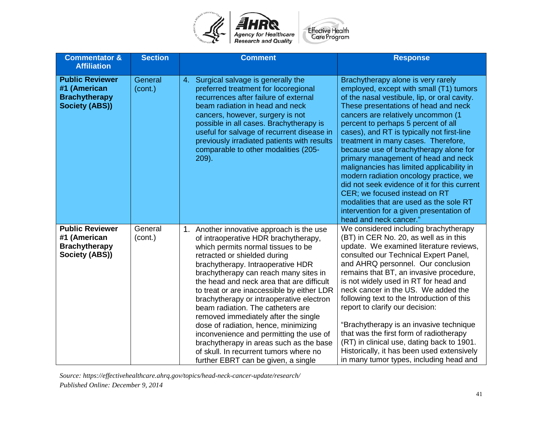

| <b>Commentator &amp;</b><br><b>Affiliation</b>                                          | <b>Section</b>     | <b>Comment</b>                                                                                                                                                                                                                                                                                                                                                                                                                                                                                                                                                                                                                                                           | <b>Response</b>                                                                                                                                                                                                                                                                                                                                                                                                                                                                                                                                                                                                                                                                                                   |
|-----------------------------------------------------------------------------------------|--------------------|--------------------------------------------------------------------------------------------------------------------------------------------------------------------------------------------------------------------------------------------------------------------------------------------------------------------------------------------------------------------------------------------------------------------------------------------------------------------------------------------------------------------------------------------------------------------------------------------------------------------------------------------------------------------------|-------------------------------------------------------------------------------------------------------------------------------------------------------------------------------------------------------------------------------------------------------------------------------------------------------------------------------------------------------------------------------------------------------------------------------------------------------------------------------------------------------------------------------------------------------------------------------------------------------------------------------------------------------------------------------------------------------------------|
| <b>Public Reviewer</b><br>#1 (American<br><b>Brachytherapy</b><br><b>Society (ABS))</b> | General<br>(cont.) | 4. Surgical salvage is generally the<br>preferred treatment for locoregional<br>recurrences after failure of external<br>beam radiation in head and neck<br>cancers, however, surgery is not<br>possible in all cases. Brachytherapy is<br>useful for salvage of recurrent disease in<br>previously irradiated patients with results<br>comparable to other modalities (205-<br>$209$ ).                                                                                                                                                                                                                                                                                 | Brachytherapy alone is very rarely<br>employed, except with small (T1) tumors<br>of the nasal vestibule, lip, or oral cavity.<br>These presentations of head and neck<br>cancers are relatively uncommon (1<br>percent to perhaps 5 percent of all<br>cases), and RT is typically not first-line<br>treatment in many cases. Therefore,<br>because use of brachytherapy alone for<br>primary management of head and neck<br>malignancies has limited applicability in<br>modern radiation oncology practice, we<br>did not seek evidence of it for this current<br>CER; we focused instead on RT<br>modalities that are used as the sole RT<br>intervention for a given presentation of<br>head and neck cancer." |
| <b>Public Reviewer</b><br>#1 (American<br><b>Brachytherapy</b><br>Society (ABS))        | General<br>(cont.) | 1. Another innovative approach is the use<br>of intraoperative HDR brachytherapy,<br>which permits normal tissues to be<br>retracted or shielded during<br>brachytherapy. Intraoperative HDR<br>brachytherapy can reach many sites in<br>the head and neck area that are difficult<br>to treat or are inaccessible by either LDR<br>brachytherapy or intraoperative electron<br>beam radiation. The catheters are<br>removed immediately after the single<br>dose of radiation, hence, minimizing<br>inconvenience and permitting the use of<br>brachytherapy in areas such as the base<br>of skull. In recurrent tumors where no<br>further EBRT can be given, a single | We considered including brachytherapy<br>(BT) in CER No. 20, as well as in this<br>update. We examined literature reviews,<br>consulted our Technical Expert Panel,<br>and AHRQ personnel. Our conclusion<br>remains that BT, an invasive procedure,<br>is not widely used in RT for head and<br>neck cancer in the US. We added the<br>following text to the Introduction of this<br>report to clarify our decision:<br>"Brachytherapy is an invasive technique<br>that was the first form of radiotherapy<br>(RT) in clinical use, dating back to 1901.<br>Historically, it has been used extensively<br>in many tumor types, including head and                                                                |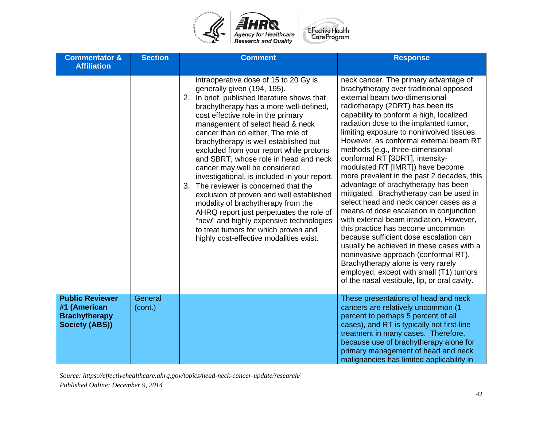

| <b>Commentator &amp;</b><br><b>Affiliation</b>                                          | <b>Section</b>     | <b>Comment</b>                                                                                                                                                                                                                                                                                                                                                                                                                                                                                                                                                                                                                                                                                                                                                                                       | <b>Response</b>                                                                                                                                                                                                                                                                                                                                                                                                                                                                                                                                                                                                                                                                                                                                                                                                                                                                                                                                                                                                   |
|-----------------------------------------------------------------------------------------|--------------------|------------------------------------------------------------------------------------------------------------------------------------------------------------------------------------------------------------------------------------------------------------------------------------------------------------------------------------------------------------------------------------------------------------------------------------------------------------------------------------------------------------------------------------------------------------------------------------------------------------------------------------------------------------------------------------------------------------------------------------------------------------------------------------------------------|-------------------------------------------------------------------------------------------------------------------------------------------------------------------------------------------------------------------------------------------------------------------------------------------------------------------------------------------------------------------------------------------------------------------------------------------------------------------------------------------------------------------------------------------------------------------------------------------------------------------------------------------------------------------------------------------------------------------------------------------------------------------------------------------------------------------------------------------------------------------------------------------------------------------------------------------------------------------------------------------------------------------|
|                                                                                         |                    | intraoperative dose of 15 to 20 Gy is<br>generally given (194, 195).<br>2.<br>In brief, published literature shows that<br>brachytherapy has a more well-defined,<br>cost effective role in the primary<br>management of select head & neck<br>cancer than do either, The role of<br>brachytherapy is well established but<br>excluded from your report while protons<br>and SBRT, whose role in head and neck<br>cancer may well be considered<br>investigational, is included in your report.<br>3. The reviewer is concerned that the<br>exclusion of proven and well established<br>modality of brachytherapy from the<br>AHRQ report just perpetuates the role of<br>"new" and highly expensive technologies<br>to treat tumors for which proven and<br>highly cost-effective modalities exist. | neck cancer. The primary advantage of<br>brachytherapy over traditional opposed<br>external beam two-dimensional<br>radiotherapy (2DRT) has been its<br>capability to conform a high, localized<br>radiation dose to the implanted tumor,<br>limiting exposure to noninvolved tissues.<br>However, as conformal external beam RT<br>methods (e.g., three-dimensional<br>conformal RT [3DRT], intensity-<br>modulated RT [IMRT]) have become<br>more prevalent in the past 2 decades, this<br>advantage of brachytherapy has been<br>mitigated. Brachytherapy can be used in<br>select head and neck cancer cases as a<br>means of dose escalation in conjunction<br>with external beam irradiation. However,<br>this practice has become uncommon<br>because sufficient dose escalation can<br>usually be achieved in these cases with a<br>noninvasive approach (conformal RT).<br>Brachytherapy alone is very rarely<br>employed, except with small (T1) tumors<br>of the nasal vestibule, lip, or oral cavity. |
| <b>Public Reviewer</b><br>#1 (American<br><b>Brachytherapy</b><br><b>Society (ABS))</b> | General<br>(cont.) |                                                                                                                                                                                                                                                                                                                                                                                                                                                                                                                                                                                                                                                                                                                                                                                                      | These presentations of head and neck<br>cancers are relatively uncommon (1<br>percent to perhaps 5 percent of all<br>cases), and RT is typically not first-line<br>treatment in many cases. Therefore,<br>because use of brachytherapy alone for<br>primary management of head and neck<br>malignancies has limited applicability in                                                                                                                                                                                                                                                                                                                                                                                                                                                                                                                                                                                                                                                                              |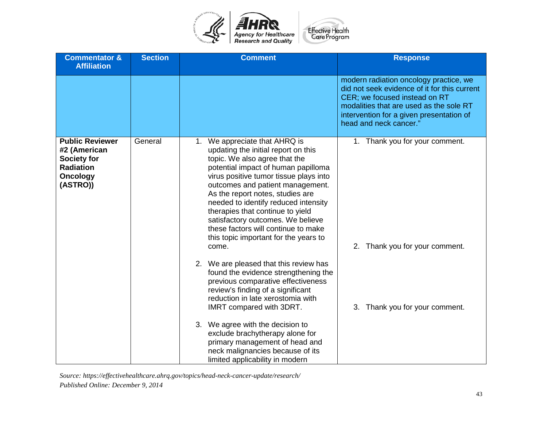

| <b>Commentator &amp;</b><br><b>Affiliation</b>                                                                  | <b>Section</b> | <b>Comment</b>                                                                                                                                                                                                                                                                                                                                                                                                                                                                                                     | <b>Response</b>                                                                                                                                                                                                                          |
|-----------------------------------------------------------------------------------------------------------------|----------------|--------------------------------------------------------------------------------------------------------------------------------------------------------------------------------------------------------------------------------------------------------------------------------------------------------------------------------------------------------------------------------------------------------------------------------------------------------------------------------------------------------------------|------------------------------------------------------------------------------------------------------------------------------------------------------------------------------------------------------------------------------------------|
|                                                                                                                 |                |                                                                                                                                                                                                                                                                                                                                                                                                                                                                                                                    | modern radiation oncology practice, we<br>did not seek evidence of it for this current<br>CER; we focused instead on RT<br>modalities that are used as the sole RT<br>intervention for a given presentation of<br>head and neck cancer." |
| <b>Public Reviewer</b><br>#2 (American<br><b>Society for</b><br><b>Radiation</b><br><b>Oncology</b><br>(ASTRO)) | General        | 1. We appreciate that AHRQ is<br>updating the initial report on this<br>topic. We also agree that the<br>potential impact of human papilloma<br>virus positive tumor tissue plays into<br>outcomes and patient management.<br>As the report notes, studies are<br>needed to identify reduced intensity<br>therapies that continue to yield<br>satisfactory outcomes. We believe<br>these factors will continue to make<br>this topic important for the years to<br>come.<br>2. We are pleased that this review has | 1. Thank you for your comment.<br>2. Thank you for your comment.                                                                                                                                                                         |
|                                                                                                                 |                | found the evidence strengthening the<br>previous comparative effectiveness<br>review's finding of a significant<br>reduction in late xerostomia with<br>IMRT compared with 3DRT.<br>3. We agree with the decision to<br>exclude brachytherapy alone for<br>primary management of head and                                                                                                                                                                                                                          | 3. Thank you for your comment.                                                                                                                                                                                                           |
|                                                                                                                 |                | neck malignancies because of its<br>limited applicability in modern                                                                                                                                                                                                                                                                                                                                                                                                                                                |                                                                                                                                                                                                                                          |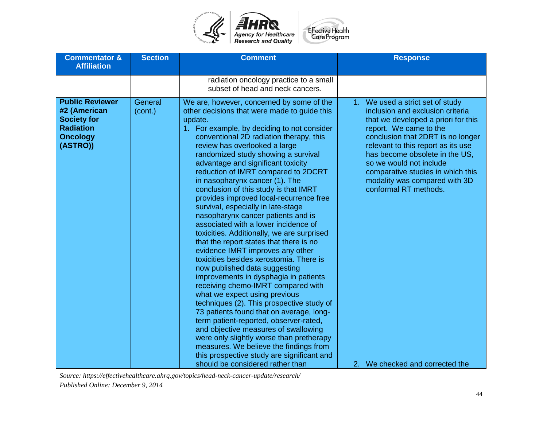

| <b>Commentator &amp;</b><br><b>Affiliation</b>                                                                  | <b>Section</b>     | <b>Comment</b>                                                                                                                                                                                                                                                                                                                                                                                                                                                                                                                                                                                                                                                                                                                                                                                                                                                                                                                                                                                                                                                                                                                                                                                                                        | <b>Response</b>                                                                                                                                                                                                                                                                                                                                                              |
|-----------------------------------------------------------------------------------------------------------------|--------------------|---------------------------------------------------------------------------------------------------------------------------------------------------------------------------------------------------------------------------------------------------------------------------------------------------------------------------------------------------------------------------------------------------------------------------------------------------------------------------------------------------------------------------------------------------------------------------------------------------------------------------------------------------------------------------------------------------------------------------------------------------------------------------------------------------------------------------------------------------------------------------------------------------------------------------------------------------------------------------------------------------------------------------------------------------------------------------------------------------------------------------------------------------------------------------------------------------------------------------------------|------------------------------------------------------------------------------------------------------------------------------------------------------------------------------------------------------------------------------------------------------------------------------------------------------------------------------------------------------------------------------|
|                                                                                                                 |                    | radiation oncology practice to a small<br>subset of head and neck cancers.                                                                                                                                                                                                                                                                                                                                                                                                                                                                                                                                                                                                                                                                                                                                                                                                                                                                                                                                                                                                                                                                                                                                                            |                                                                                                                                                                                                                                                                                                                                                                              |
| <b>Public Reviewer</b><br>#2 (American<br><b>Society for</b><br><b>Radiation</b><br><b>Oncology</b><br>(ASTRO)) | General<br>(cont.) | We are, however, concerned by some of the<br>other decisions that were made to guide this<br>update.<br>1. For example, by deciding to not consider<br>conventional 2D radiation therapy, this<br>review has overlooked a large<br>randomized study showing a survival<br>advantage and significant toxicity<br>reduction of IMRT compared to 2DCRT<br>in nasopharynx cancer (1). The<br>conclusion of this study is that IMRT<br>provides improved local-recurrence free<br>survival, especially in late-stage<br>nasopharynx cancer patients and is<br>associated with a lower incidence of<br>toxicities. Additionally, we are surprised<br>that the report states that there is no<br>evidence IMRT improves any other<br>toxicities besides xerostomia. There is<br>now published data suggesting<br>improvements in dysphagia in patients<br>receiving chemo-IMRT compared with<br>what we expect using previous<br>techniques (2). This prospective study of<br>73 patients found that on average, long-<br>term patient-reported, observer-rated,<br>and objective measures of swallowing<br>were only slightly worse than pretherapy<br>measures. We believe the findings from<br>this prospective study are significant and | 1. We used a strict set of study<br>inclusion and exclusion criteria<br>that we developed a priori for this<br>report. We came to the<br>conclusion that 2DRT is no longer<br>relevant to this report as its use<br>has become obsolete in the US,<br>so we would not include<br>comparative studies in which this<br>modality was compared with 3D<br>conformal RT methods. |
|                                                                                                                 |                    | should be considered rather than                                                                                                                                                                                                                                                                                                                                                                                                                                                                                                                                                                                                                                                                                                                                                                                                                                                                                                                                                                                                                                                                                                                                                                                                      | 2. We checked and corrected the                                                                                                                                                                                                                                                                                                                                              |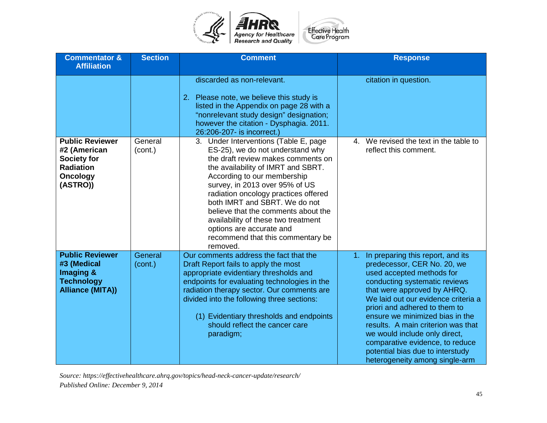

| <b>Commentator &amp;</b><br><b>Affiliation</b>                                                                  | <b>Section</b>     | <b>Comment</b>                                                                                                                                                                                                                                                                                                                                                                                                                                             | <b>Response</b>                                                                                                                                                                                                                                                                                                                                                                                                                                                |
|-----------------------------------------------------------------------------------------------------------------|--------------------|------------------------------------------------------------------------------------------------------------------------------------------------------------------------------------------------------------------------------------------------------------------------------------------------------------------------------------------------------------------------------------------------------------------------------------------------------------|----------------------------------------------------------------------------------------------------------------------------------------------------------------------------------------------------------------------------------------------------------------------------------------------------------------------------------------------------------------------------------------------------------------------------------------------------------------|
|                                                                                                                 |                    | discarded as non-relevant.<br>2. Please note, we believe this study is<br>listed in the Appendix on page 28 with a<br>"nonrelevant study design" designation;<br>however the citation - Dysphagia. 2011.<br>26:206-207- is incorrect.)                                                                                                                                                                                                                     | citation in question.                                                                                                                                                                                                                                                                                                                                                                                                                                          |
| <b>Public Reviewer</b><br>#2 (American<br><b>Society for</b><br><b>Radiation</b><br><b>Oncology</b><br>(ASTRO)) | General<br>(cont.) | 3. Under Interventions (Table E, page<br>ES-25), we do not understand why<br>the draft review makes comments on<br>the availability of IMRT and SBRT.<br>According to our membership<br>survey, in 2013 over 95% of US<br>radiation oncology practices offered<br>both IMRT and SBRT. We do not<br>believe that the comments about the<br>availability of these two treatment<br>options are accurate and<br>recommend that this commentary be<br>removed. | 4. We revised the text in the table to<br>reflect this comment.                                                                                                                                                                                                                                                                                                                                                                                                |
| <b>Public Reviewer</b><br>#3 (Medical<br>Imaging &<br><b>Technology</b><br><b>Alliance (MITA))</b>              | General<br>(cont.) | Our comments address the fact that the<br>Draft Report fails to apply the most<br>appropriate evidentiary thresholds and<br>endpoints for evaluating technologies in the<br>radiation therapy sector. Our comments are<br>divided into the following three sections:<br>(1) Evidentiary thresholds and endpoints<br>should reflect the cancer care<br>paradigm;                                                                                            | In preparing this report, and its<br>1.<br>predecessor, CER No. 20, we<br>used accepted methods for<br>conducting systematic reviews<br>that were approved by AHRQ.<br>We laid out our evidence criteria a<br>priori and adhered to them to<br>ensure we minimized bias in the<br>results. A main criterion was that<br>we would include only direct,<br>comparative evidence, to reduce<br>potential bias due to interstudy<br>heterogeneity among single-arm |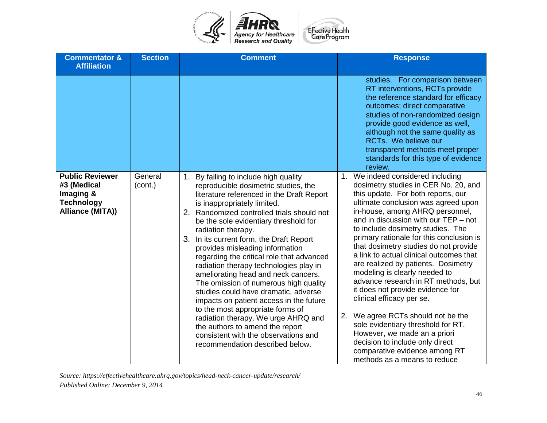

| <b>Commentator &amp;</b><br><b>Affiliation</b>                                              | <b>Section</b>     | <b>Comment</b>                                                                                                                                                                                                                                                                                                                                                                                                                                                                                                                                                                                                                                                                                                                                                                                           | <b>Response</b>                                                                                                                                                                                                                                                                                                                                                                                                                                                                                                                                                                                                                                                                                                                                                                                        |
|---------------------------------------------------------------------------------------------|--------------------|----------------------------------------------------------------------------------------------------------------------------------------------------------------------------------------------------------------------------------------------------------------------------------------------------------------------------------------------------------------------------------------------------------------------------------------------------------------------------------------------------------------------------------------------------------------------------------------------------------------------------------------------------------------------------------------------------------------------------------------------------------------------------------------------------------|--------------------------------------------------------------------------------------------------------------------------------------------------------------------------------------------------------------------------------------------------------------------------------------------------------------------------------------------------------------------------------------------------------------------------------------------------------------------------------------------------------------------------------------------------------------------------------------------------------------------------------------------------------------------------------------------------------------------------------------------------------------------------------------------------------|
|                                                                                             |                    |                                                                                                                                                                                                                                                                                                                                                                                                                                                                                                                                                                                                                                                                                                                                                                                                          | studies. For comparison between<br>RT interventions, RCTs provide<br>the reference standard for efficacy<br>outcomes; direct comparative<br>studies of non-randomized design<br>provide good evidence as well,<br>although not the same quality as<br>RCTs. We believe our<br>transparent methods meet proper<br>standards for this type of evidence<br>review.                                                                                                                                                                                                                                                                                                                                                                                                                                        |
| <b>Public Reviewer</b><br>#3 (Medical<br>Imaging &<br><b>Technology</b><br>Alliance (MITA)) | General<br>(cont.) | 1. By failing to include high quality<br>reproducible dosimetric studies, the<br>literature referenced in the Draft Report<br>is inappropriately limited.<br>2. Randomized controlled trials should not<br>be the sole evidentiary threshold for<br>radiation therapy.<br>3. In its current form, the Draft Report<br>provides misleading information<br>regarding the critical role that advanced<br>radiation therapy technologies play in<br>ameliorating head and neck cancers.<br>The omission of numerous high quality<br>studies could have dramatic, adverse<br>impacts on patient access in the future<br>to the most appropriate forms of<br>radiation therapy. We urge AHRQ and<br>the authors to amend the report<br>consistent with the observations and<br>recommendation described below. | 1. We indeed considered including<br>dosimetry studies in CER No. 20, and<br>this update. For both reports, our<br>ultimate conclusion was agreed upon<br>in-house, among AHRQ personnel,<br>and in discussion with our TEP – not<br>to include dosimetry studies. The<br>primary rationale for this conclusion is<br>that dosimetry studies do not provide<br>a link to actual clinical outcomes that<br>are realized by patients. Dosimetry<br>modeling is clearly needed to<br>advance research in RT methods, but<br>it does not provide evidence for<br>clinical efficacy per se.<br>2. We agree RCTs should not be the<br>sole evidentiary threshold for RT.<br>However, we made an a priori<br>decision to include only direct<br>comparative evidence among RT<br>methods as a means to reduce |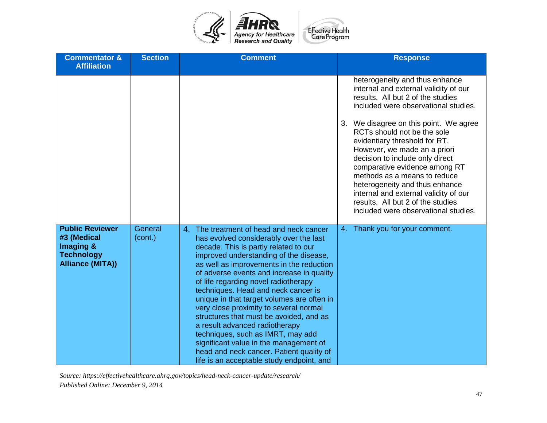

| <b>Commentator &amp;</b><br><b>Affiliation</b>                                                     | <b>Section</b>     | <b>Comment</b>                                                                                                                                                                                                                                                                                                                                                                                                                                                                                                                                                                                                                                                                                | <b>Response</b>                                                                                                                                                                                                                                                                                                                                                                                                                                                                                                                                               |
|----------------------------------------------------------------------------------------------------|--------------------|-----------------------------------------------------------------------------------------------------------------------------------------------------------------------------------------------------------------------------------------------------------------------------------------------------------------------------------------------------------------------------------------------------------------------------------------------------------------------------------------------------------------------------------------------------------------------------------------------------------------------------------------------------------------------------------------------|---------------------------------------------------------------------------------------------------------------------------------------------------------------------------------------------------------------------------------------------------------------------------------------------------------------------------------------------------------------------------------------------------------------------------------------------------------------------------------------------------------------------------------------------------------------|
|                                                                                                    |                    |                                                                                                                                                                                                                                                                                                                                                                                                                                                                                                                                                                                                                                                                                               | heterogeneity and thus enhance<br>internal and external validity of our<br>results. All but 2 of the studies<br>included were observational studies.<br>We disagree on this point. We agree<br>3.<br>RCTs should not be the sole<br>evidentiary threshold for RT.<br>However, we made an a priori<br>decision to include only direct<br>comparative evidence among RT<br>methods as a means to reduce<br>heterogeneity and thus enhance<br>internal and external validity of our<br>results. All but 2 of the studies<br>included were observational studies. |
| <b>Public Reviewer</b><br>#3 (Medical<br>Imaging &<br><b>Technology</b><br><b>Alliance (MITA))</b> | General<br>(cont.) | The treatment of head and neck cancer<br>4.<br>has evolved considerably over the last<br>decade. This is partly related to our<br>improved understanding of the disease,<br>as well as improvements in the reduction<br>of adverse events and increase in quality<br>of life regarding novel radiotherapy<br>techniques. Head and neck cancer is<br>unique in that target volumes are often in<br>very close proximity to several normal<br>structures that must be avoided, and as<br>a result advanced radiotherapy<br>techniques, such as IMRT, may add<br>significant value in the management of<br>head and neck cancer. Patient quality of<br>life is an acceptable study endpoint, and | 4. Thank you for your comment.                                                                                                                                                                                                                                                                                                                                                                                                                                                                                                                                |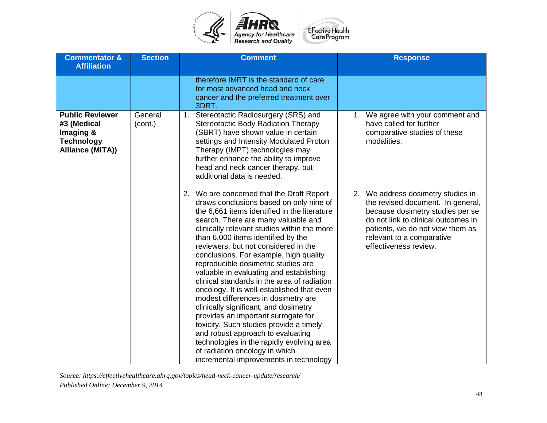

| <b>Commentator &amp;</b><br><b>Affiliation</b>                                              | <b>Section</b>     | <b>Comment</b>                                                                                                                                                                                                                                                                                                                                                                                                                                                                                                                                                                                                                                                                                                                                                                                                                                                    | <b>Response</b>                                                                                                                                                                                                                              |
|---------------------------------------------------------------------------------------------|--------------------|-------------------------------------------------------------------------------------------------------------------------------------------------------------------------------------------------------------------------------------------------------------------------------------------------------------------------------------------------------------------------------------------------------------------------------------------------------------------------------------------------------------------------------------------------------------------------------------------------------------------------------------------------------------------------------------------------------------------------------------------------------------------------------------------------------------------------------------------------------------------|----------------------------------------------------------------------------------------------------------------------------------------------------------------------------------------------------------------------------------------------|
|                                                                                             |                    | therefore IMRT is the standard of care<br>for most advanced head and neck<br>cancer and the preferred treatment over<br>3DRT.                                                                                                                                                                                                                                                                                                                                                                                                                                                                                                                                                                                                                                                                                                                                     |                                                                                                                                                                                                                                              |
| <b>Public Reviewer</b><br>#3 (Medical<br>Imaging &<br><b>Technology</b><br>Alliance (MITA)) | General<br>(cont.) | Stereotactic Radiosurgery (SRS) and<br>1.<br><b>Stereotactic Body Radiation Therapy</b><br>(SBRT) have shown value in certain<br>settings and Intensity Modulated Proton<br>Therapy (IMPT) technologies may<br>further enhance the ability to improve<br>head and neck cancer therapy, but<br>additional data is needed.                                                                                                                                                                                                                                                                                                                                                                                                                                                                                                                                          | 1. We agree with your comment and<br>have called for further<br>comparative studies of these<br>modalities.                                                                                                                                  |
|                                                                                             |                    | 2. We are concerned that the Draft Report<br>draws conclusions based on only nine of<br>the 6,661 items identified in the literature<br>search. There are many valuable and<br>clinically relevant studies within the more<br>than 6,000 items identified by the<br>reviewers, but not considered in the<br>conclusions. For example, high quality<br>reproducible dosimetric studies are<br>valuable in evaluating and establishing<br>clinical standards in the area of radiation<br>oncology. It is well-established that even<br>modest differences in dosimetry are<br>clinically significant, and dosimetry<br>provides an important surrogate for<br>toxicity. Such studies provide a timely<br>and robust approach to evaluating<br>technologies in the rapidly evolving area<br>of radiation oncology in which<br>incremental improvements in technology | 2. We address dosimetry studies in<br>the revised document. In general,<br>because dosimetry studies per se<br>do not link to clinical outcomes in<br>patients, we do not view them as<br>relevant to a comparative<br>effectiveness review. |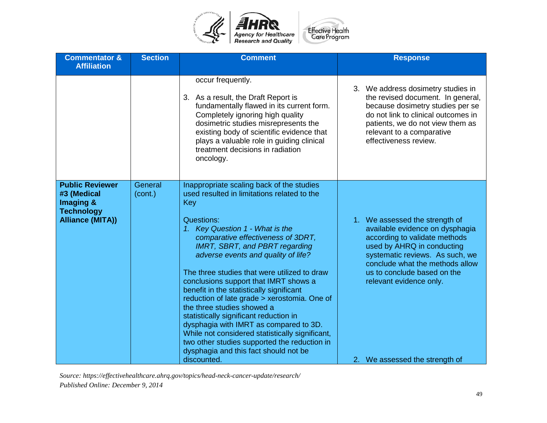

|                                                                                                                          | occur frequently.<br>3. As a result, the Draft Report is<br>fundamentally flawed in its current form.<br>Completely ignoring high quality<br>dosimetric studies misrepresents the                                                                                                                                                                                                                                                                                                                                                                                                                                                                                                                                                                       | 3. We address dosimetry studies in<br>the revised document. In general,<br>because dosimetry studies per se<br>do not link to clinical outcomes in                                                                                                                                                 |
|--------------------------------------------------------------------------------------------------------------------------|---------------------------------------------------------------------------------------------------------------------------------------------------------------------------------------------------------------------------------------------------------------------------------------------------------------------------------------------------------------------------------------------------------------------------------------------------------------------------------------------------------------------------------------------------------------------------------------------------------------------------------------------------------------------------------------------------------------------------------------------------------|----------------------------------------------------------------------------------------------------------------------------------------------------------------------------------------------------------------------------------------------------------------------------------------------------|
|                                                                                                                          | existing body of scientific evidence that<br>plays a valuable role in guiding clinical<br>treatment decisions in radiation<br>oncology.                                                                                                                                                                                                                                                                                                                                                                                                                                                                                                                                                                                                                 | patients, we do not view them as<br>relevant to a comparative<br>effectiveness review.                                                                                                                                                                                                             |
| <b>Public Reviewer</b><br>General<br>#3 (Medical<br>(cont.)<br>Imaging &<br><b>Technology</b><br><b>Alliance (MITA))</b> | Inappropriate scaling back of the studies<br>used resulted in limitations related to the<br>Key<br>Questions:<br>Key Question 1 - What is the<br>1 <sub>1</sub><br>comparative effectiveness of 3DRT,<br><b>IMRT, SBRT, and PBRT regarding</b><br>adverse events and quality of life?<br>The three studies that were utilized to draw<br>conclusions support that IMRT shows a<br>benefit in the statistically significant<br>reduction of late grade > xerostomia. One of<br>the three studies showed a<br>statistically significant reduction in<br>dysphagia with IMRT as compared to 3D.<br>While not considered statistically significant,<br>two other studies supported the reduction in<br>dysphagia and this fact should not be<br>discounted. | 1. We assessed the strength of<br>available evidence on dysphagia<br>according to validate methods<br>used by AHRQ in conducting<br>systematic reviews. As such, we<br>conclude what the methods allow<br>us to conclude based on the<br>relevant evidence only.<br>2. We assessed the strength of |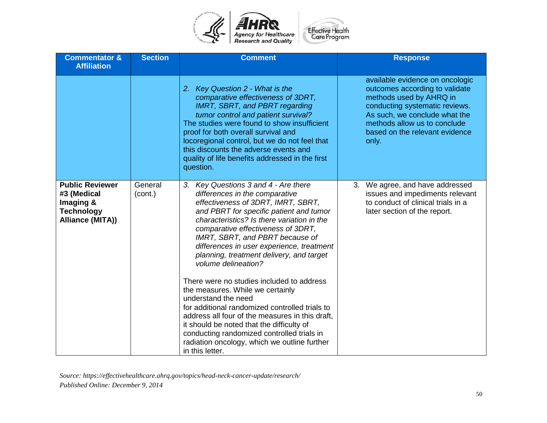

| <b>Commentator &amp;</b><br><b>Affiliation</b>                                              | <b>Section</b>     | <b>Comment</b>                                                                                                                                                                                                                                                                                                                                                                                                                                                                                                                                                                                                                                                                                                                                                            | <b>Response</b>                                                                                                                                                                                                                            |
|---------------------------------------------------------------------------------------------|--------------------|---------------------------------------------------------------------------------------------------------------------------------------------------------------------------------------------------------------------------------------------------------------------------------------------------------------------------------------------------------------------------------------------------------------------------------------------------------------------------------------------------------------------------------------------------------------------------------------------------------------------------------------------------------------------------------------------------------------------------------------------------------------------------|--------------------------------------------------------------------------------------------------------------------------------------------------------------------------------------------------------------------------------------------|
|                                                                                             |                    | 2. Key Question 2 - What is the<br>comparative effectiveness of 3DRT,<br><b>IMRT, SBRT, and PBRT regarding</b><br>tumor control and patient survival?<br>The studies were found to show insufficient<br>proof for both overall survival and<br>locoregional control, but we do not feel that<br>this discounts the adverse events and<br>quality of life benefits addressed in the first<br>question.                                                                                                                                                                                                                                                                                                                                                                     | available evidence on oncologic<br>outcomes according to validate<br>methods used by AHRQ in<br>conducting systematic reviews.<br>As such, we conclude what the<br>methods allow us to conclude<br>based on the relevant evidence<br>only. |
| <b>Public Reviewer</b><br>#3 (Medical<br>Imaging &<br><b>Technology</b><br>Alliance (MITA)) | General<br>(cont.) | 3. Key Questions 3 and 4 - Are there<br>differences in the comparative<br>effectiveness of 3DRT, IMRT, SBRT,<br>and PBRT for specific patient and tumor<br>characteristics? Is there variation in the<br>comparative effectiveness of 3DRT,<br>IMRT, SBRT, and PBRT because of<br>differences in user experience, treatment<br>planning, treatment delivery, and target<br>volume delineation?<br>There were no studies included to address<br>the measures. While we certainly<br>understand the need<br>for additional randomized controlled trials to<br>address all four of the measures in this draft,<br>it should be noted that the difficulty of<br>conducting randomized controlled trials in<br>radiation oncology, which we outline further<br>in this letter. | 3. We agree, and have addressed<br>issues and impediments relevant<br>to conduct of clinical trials in a<br>later section of the report.                                                                                                   |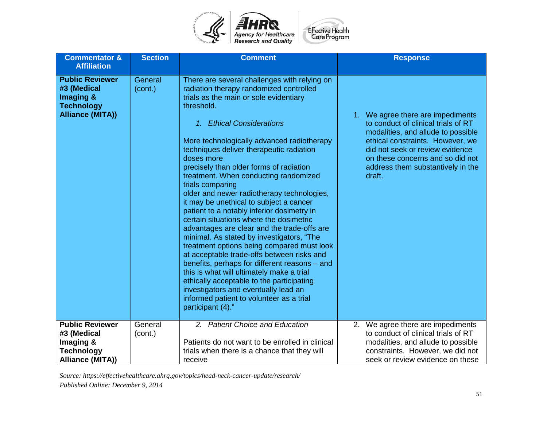

| <b>Effective Health</b> |
|-------------------------|
|                         |
| Care Program            |
|                         |

| <b>Commentator &amp;</b><br><b>Affiliation</b>                                                     | <b>Section</b>     | <b>Comment</b>                                                                                                                                                                                                                                                                                                                                                                                                                                                                                                                                                                                                                                                                                                                                                                                                                                                                                                                                                                                                             | <b>Response</b>                                                                                                                                                                                                                                                          |
|----------------------------------------------------------------------------------------------------|--------------------|----------------------------------------------------------------------------------------------------------------------------------------------------------------------------------------------------------------------------------------------------------------------------------------------------------------------------------------------------------------------------------------------------------------------------------------------------------------------------------------------------------------------------------------------------------------------------------------------------------------------------------------------------------------------------------------------------------------------------------------------------------------------------------------------------------------------------------------------------------------------------------------------------------------------------------------------------------------------------------------------------------------------------|--------------------------------------------------------------------------------------------------------------------------------------------------------------------------------------------------------------------------------------------------------------------------|
| <b>Public Reviewer</b><br>#3 (Medical<br>Imaging &<br><b>Technology</b><br><b>Alliance (MITA))</b> | General<br>(cont.) | There are several challenges with relying on<br>radiation therapy randomized controlled<br>trials as the main or sole evidentiary<br>threshold.<br>1. Ethical Considerations<br>More technologically advanced radiotherapy<br>techniques deliver therapeutic radiation<br>doses more<br>precisely than older forms of radiation<br>treatment. When conducting randomized<br>trials comparing<br>older and newer radiotherapy technologies,<br>it may be unethical to subject a cancer<br>patient to a notably inferior dosimetry in<br>certain situations where the dosimetric<br>advantages are clear and the trade-offs are<br>minimal. As stated by investigators, "The<br>treatment options being compared must look<br>at acceptable trade-offs between risks and<br>benefits, perhaps for different reasons - and<br>this is what will ultimately make a trial<br>ethically acceptable to the participating<br>investigators and eventually lead an<br>informed patient to volunteer as a trial<br>participant (4)." | 1. We agree there are impediments<br>to conduct of clinical trials of RT<br>modalities, and allude to possible<br>ethical constraints. However, we<br>did not seek or review evidence<br>on these concerns and so did not<br>address them substantively in the<br>draft. |
| <b>Public Reviewer</b><br>#3 (Medical<br>Imaging &<br><b>Technology</b><br>Alliance (MITA))        | General<br>(cont.) | 2. Patient Choice and Education<br>Patients do not want to be enrolled in clinical<br>trials when there is a chance that they will<br>receive                                                                                                                                                                                                                                                                                                                                                                                                                                                                                                                                                                                                                                                                                                                                                                                                                                                                              | 2. We agree there are impediments<br>to conduct of clinical trials of RT<br>modalities, and allude to possible<br>constraints. However, we did not<br>seek or review evidence on these                                                                                   |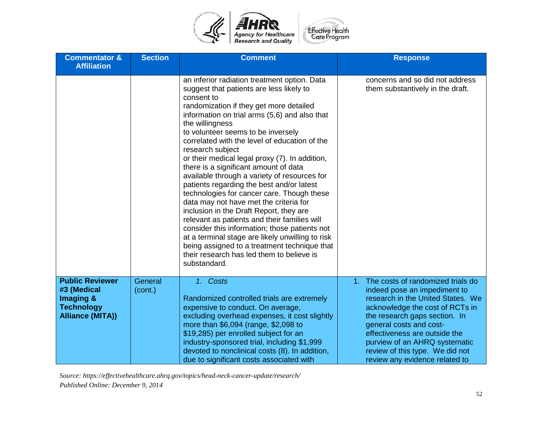

| <b>Commentator &amp;</b><br><b>Affiliation</b>                                                     | <b>Section</b>     | <b>Comment</b>                                                                                                                                                                                                                                                                                                                                                                                                                                                                                                                                                                                                                                                                                                                                                                                                                                                                                                                | <b>Response</b>                                                                                                                                                                                                                                                                                                                                 |
|----------------------------------------------------------------------------------------------------|--------------------|-------------------------------------------------------------------------------------------------------------------------------------------------------------------------------------------------------------------------------------------------------------------------------------------------------------------------------------------------------------------------------------------------------------------------------------------------------------------------------------------------------------------------------------------------------------------------------------------------------------------------------------------------------------------------------------------------------------------------------------------------------------------------------------------------------------------------------------------------------------------------------------------------------------------------------|-------------------------------------------------------------------------------------------------------------------------------------------------------------------------------------------------------------------------------------------------------------------------------------------------------------------------------------------------|
|                                                                                                    |                    | an inferior radiation treatment option. Data<br>suggest that patients are less likely to<br>consent to<br>randomization if they get more detailed<br>information on trial arms (5,6) and also that<br>the willingness<br>to volunteer seems to be inversely<br>correlated with the level of education of the<br>research subject<br>or their medical legal proxy (7). In addition,<br>there is a significant amount of data<br>available through a variety of resources for<br>patients regarding the best and/or latest<br>technologies for cancer care. Though these<br>data may not have met the criteria for<br>inclusion in the Draft Report, they are<br>relevant as patients and their families will<br>consider this information; those patients not<br>at a terminal stage are likely unwilling to risk<br>being assigned to a treatment technique that<br>their research has led them to believe is<br>substandard. | concerns and so did not address<br>them substantively in the draft.                                                                                                                                                                                                                                                                             |
| <b>Public Reviewer</b><br>#3 (Medical<br>Imaging &<br><b>Technology</b><br><b>Alliance (MITA))</b> | General<br>(cont.) | 1. Costs<br>Randomized controlled trials are extremely<br>expensive to conduct. On average,<br>excluding overhead expenses, it cost slightly<br>more than \$6,094 (range, \$2,098 to<br>\$19,285) per enrolled subject for an<br>industry-sponsored trial, including \$1,999<br>devoted to nonclinical costs (8). In addition,<br>due to significant costs associated with                                                                                                                                                                                                                                                                                                                                                                                                                                                                                                                                                    | 1. The costs of randomized trials do<br>indeed pose an impediment to<br>research in the United States. We<br>acknowledge the cost of RCTs in<br>the research gaps section. In<br>general costs and cost-<br>effectiveness are outside the<br>purview of an AHRQ systematic<br>review of this type. We did not<br>review any evidence related to |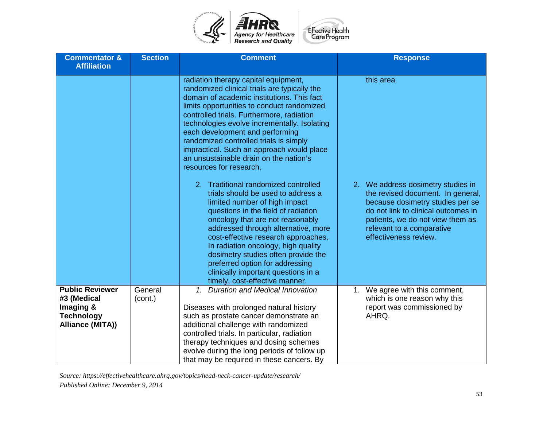

| <b>Commentator &amp;</b><br><b>Affiliation</b>                                              | <b>Section</b>     | <b>Comment</b>                                                                                                                                                                                                                                                                                                                                                                                                                                                                                                                                                                                                                                                                                                                                                                                                                                                                                                                                 | <b>Response</b>                                                                                                                                                                                                                                            |
|---------------------------------------------------------------------------------------------|--------------------|------------------------------------------------------------------------------------------------------------------------------------------------------------------------------------------------------------------------------------------------------------------------------------------------------------------------------------------------------------------------------------------------------------------------------------------------------------------------------------------------------------------------------------------------------------------------------------------------------------------------------------------------------------------------------------------------------------------------------------------------------------------------------------------------------------------------------------------------------------------------------------------------------------------------------------------------|------------------------------------------------------------------------------------------------------------------------------------------------------------------------------------------------------------------------------------------------------------|
|                                                                                             |                    | radiation therapy capital equipment,<br>randomized clinical trials are typically the<br>domain of academic institutions. This fact<br>limits opportunities to conduct randomized<br>controlled trials. Furthermore, radiation<br>technologies evolve incrementally. Isolating<br>each development and performing<br>randomized controlled trials is simply<br>impractical. Such an approach would place<br>an unsustainable drain on the nation's<br>resources for research.<br>2. Traditional randomized controlled<br>trials should be used to address a<br>limited number of high impact<br>questions in the field of radiation<br>oncology that are not reasonably<br>addressed through alternative, more<br>cost-effective research approaches.<br>In radiation oncology, high quality<br>dosimetry studies often provide the<br>preferred option for addressing<br>clinically important questions in a<br>timely, cost-effective manner. | this area.<br>2. We address dosimetry studies in<br>the revised document. In general,<br>because dosimetry studies per se<br>do not link to clinical outcomes in<br>patients, we do not view them as<br>relevant to a comparative<br>effectiveness review. |
| <b>Public Reviewer</b><br>#3 (Medical<br>Imaging &<br><b>Technology</b><br>Alliance (MITA)) | General<br>(cont.) | 1. Duration and Medical Innovation<br>Diseases with prolonged natural history<br>such as prostate cancer demonstrate an<br>additional challenge with randomized<br>controlled trials. In particular, radiation<br>therapy techniques and dosing schemes                                                                                                                                                                                                                                                                                                                                                                                                                                                                                                                                                                                                                                                                                        | 1. We agree with this comment,<br>which is one reason why this<br>report was commissioned by<br>AHRQ.                                                                                                                                                      |
|                                                                                             |                    | evolve during the long periods of follow up<br>that may be required in these cancers. By                                                                                                                                                                                                                                                                                                                                                                                                                                                                                                                                                                                                                                                                                                                                                                                                                                                       |                                                                                                                                                                                                                                                            |